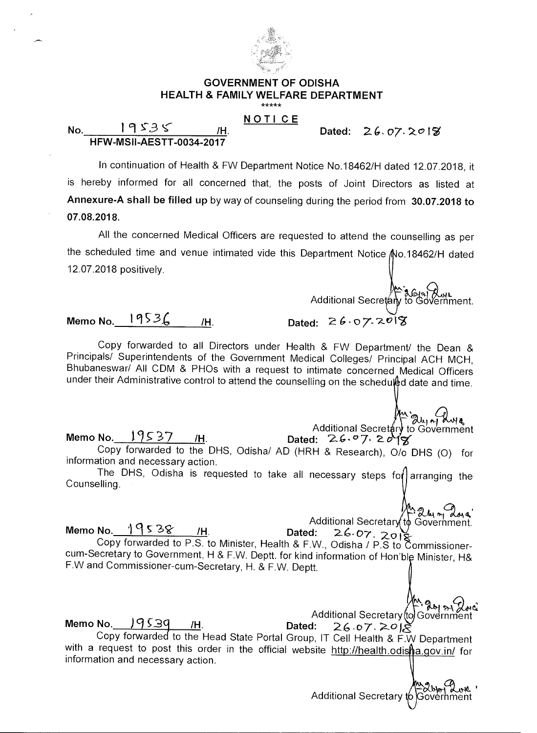

#### **GOVERNMENT OF ODISHA HEALTH & FAMILY WELFARE DEPARTMENT**  \*\*\*\*\*

### **NOTI CE**

**Dated:** 2.6, o7, 2019'

### **No.** 19535 H. **HFW-MSII-AESTT-0034-2017**

In continuation of Health & FW Department Notice No.18462/H dated 12.07.2018, it is hereby informed for all concerned that, the posts of Joint Directors as listed at **Annexure-A shall be filled up** by way of counseling during the period from **30.07.2018 to 07.08.2018.** 

All the concerned Medical Officers are requested to attend the counselling as per the scheduled time and venue intimated vide this Department Notice No.18462/H dated 12.07.2018 positively.

Additional Secretary to Government.

## **Memo No.** 19536 /H. Dated: 26.07.2018

Copy forwarded to all Directors under Health & FW Department/ the Dean & Principals/ Superintendents of the Government Medical Colleges/ Principal ACH MCH, Bhubaneswar/ All CDM & PHOs with a request to intimate concerned Medical Officers under their Administrative control to attend the counselling on the schedu $\hat{\theta}$ d date and time.

 $A^{\mu\nu}$ <sup>2</sup>  $\partial_{\mu\nu}$  Additional Secretary to Government<br>Dated: 26.97.2018 Additional Secretary<br>Memo No. <u>19537 /H</u>. Dated: 26.07.20 Copy forwarded to the DHS, Odisha/ AD (HRH & Research), 0/o DHS (0) for information and necessary action.

The DHS, Odisha is requested to take all necessary steps for arranging the Counselling.

> 24m days Additional Secretary to Government.

Additional Secretary<br>**Memo No.\_\_<u>1953&\_\_\_/H</u>. Dated: 2.6-07 .<sub>201</sub>** Copy forwarded to P.S. to Minister, Health & F.W., Odisha / P.S to Commissionercum-Secretary to Government, H & F.W. Deptt. for kind information of Hon'ble Minister, H& F.W and Commissioner-cum-Secretary, H. & F.W. Deptt.

Additional Secretary to Government<br>Dated: 26.07.2018 Memo No.  $\frac{19539}{\text{m}}$ . Dated:  $26.07$ .  $2018$ Copy forwarded to the Head State Portal Group, IT Cell Health & F.W Department with a request to post this order in the official website http://health.odisha.gov.in/ for information and necessary action.

Additional Secretary to Government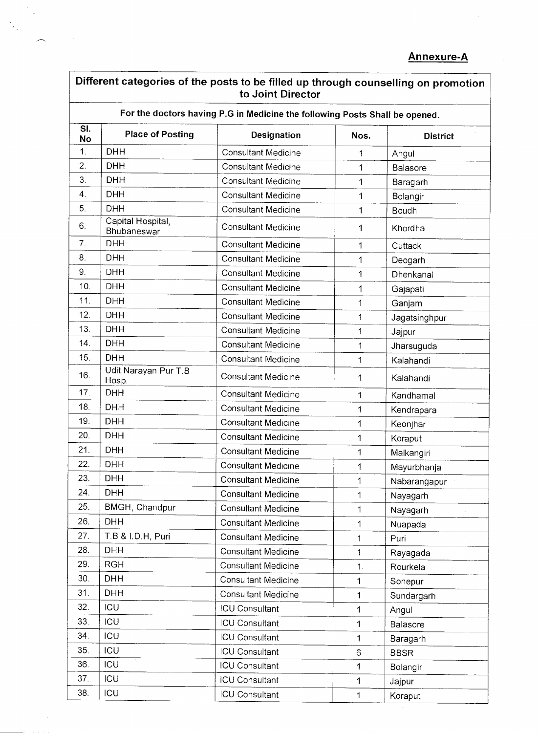| For the doctors having P.G in Medicine the following Posts Shall be opened. |                                  |                            |              |                 |
|-----------------------------------------------------------------------------|----------------------------------|----------------------------|--------------|-----------------|
| $\overline{\mathsf{SL}}$<br><b>No</b>                                       | <b>Place of Posting</b>          | Designation                | Nos.         | <b>District</b> |
| $\mathbf{1}$ .                                                              | <b>DHH</b>                       | <b>Consultant Medicine</b> | 1            | Angul           |
| 2.                                                                          | <b>DHH</b>                       | <b>Consultant Medicine</b> | 1            | Balasore        |
| 3.                                                                          | <b>DHH</b>                       | <b>Consultant Medicine</b> | 1            | Baragarh        |
| 4.                                                                          | <b>DHH</b>                       | <b>Consultant Medicine</b> | 1            | Bolangir        |
| 5.                                                                          | <b>DHH</b>                       | <b>Consultant Medicine</b> | 1            | Boudh           |
| 6.                                                                          | Capital Hospital,<br>Bhubaneswar | <b>Consultant Medicine</b> | 1            | Khordha         |
| 7.                                                                          | <b>DHH</b>                       | <b>Consultant Medicine</b> | 1            | Cuttack         |
| 8.                                                                          | <b>DHH</b>                       | <b>Consultant Medicine</b> | 1            | Deogarh         |
| 9.                                                                          | <b>DHH</b>                       | <b>Consultant Medicine</b> | 1            | Dhenkanal       |
| 10.                                                                         | <b>DHH</b>                       | <b>Consultant Medicine</b> | 1            | Gajapati        |
| 11.                                                                         | <b>DHH</b>                       | <b>Consultant Medicine</b> | 1            | Ganjam          |
| 12.                                                                         | <b>DHH</b>                       | <b>Consultant Medicine</b> | 1            | Jagatsinghpur   |
| 13.                                                                         | <b>DHH</b>                       | <b>Consultant Medicine</b> | 1            | Jajpur          |
| 14.                                                                         | <b>DHH</b>                       | <b>Consultant Medicine</b> | 1            | Jharsuguda      |
| 15.                                                                         | <b>DHH</b>                       | <b>Consultant Medicine</b> | $\mathbf 1$  | Kalahandi       |
| 16.                                                                         | Udit Narayan Pur T.B<br>Hosp.    | <b>Consultant Medicine</b> | 1            | Kalahandi       |
| 17.                                                                         | <b>DHH</b>                       | <b>Consultant Medicine</b> | $\mathbf{1}$ | Kandhamal       |
| 18.                                                                         | <b>DHH</b>                       | <b>Consultant Medicine</b> | 1            | Kendrapara      |
| 19.                                                                         | <b>DHH</b>                       | <b>Consultant Medicine</b> | 1            | Keonjhar        |
| 20.                                                                         | <b>DHH</b>                       | <b>Consultant Medicine</b> | $\mathbf{1}$ | Koraput         |
| 21.                                                                         | <b>DHH</b>                       | <b>Consultant Medicine</b> | 1            | Malkangiri      |
| 22.                                                                         | <b>DHH</b>                       | <b>Consultant Medicine</b> | 1            | Mayurbhanja     |
| 23.                                                                         | <b>DHH</b>                       | <b>Consultant Medicine</b> | 1            | Nabarangapur    |
| 24.                                                                         | <b>DHH</b>                       | <b>Consultant Medicine</b> | 1            | Nayagarh        |
| 25.                                                                         | BMGH, Chandpur                   | <b>Consultant Medicine</b> | 1            | Nayagarh        |
| 26.                                                                         | <b>DHH</b>                       | <b>Consultant Medicine</b> | 1            | Nuapada         |
| 27.                                                                         | T.B & I.D.H, Puri                | <b>Consultant Medicine</b> | 1            | Puri            |
| 28.                                                                         | <b>DHH</b>                       | <b>Consultant Medicine</b> | 1            | Rayagada        |
| 29.                                                                         | <b>RGH</b>                       | <b>Consultant Medicine</b> | $\mathbf 1$  | Rourkela        |
| 30.                                                                         | <b>DHH</b>                       | <b>Consultant Medicine</b> | 1            | Sonepur         |
| 31.                                                                         | <b>DHH</b>                       | <b>Consultant Medicine</b> | 1            | Sundargarh      |
| 32.                                                                         | ICU                              | <b>ICU Consultant</b>      | 1            | Angul           |
| 33.                                                                         | ICU                              | <b>ICU Consultant</b>      | 1            | Balasore        |
| 34.                                                                         | ICU                              | <b>ICU Consultant</b>      | 1            | Baragarh        |
| 35.                                                                         | ICU                              | <b>ICU Consultant</b>      | 6            | <b>BBSR</b>     |
| 36.                                                                         | ICU                              | <b>ICU Consultant</b>      | 1            | Bolangir        |
| 37.                                                                         | ICU                              | <b>ICU Consultant</b>      | 1            | Jajpur          |
| 38.                                                                         | ICU                              | <b>ICU Consultant</b>      | $\mathbf 1$  | Koraput         |

 $\frac{1}{2} \sum_{i=1}^{n} \frac{1}{2} \sum_{j=1}^{n} \frac{1}{2} \sum_{j=1}^{n} \frac{1}{2} \sum_{j=1}^{n} \frac{1}{2} \sum_{j=1}^{n} \frac{1}{2} \sum_{j=1}^{n} \frac{1}{2} \sum_{j=1}^{n} \frac{1}{2} \sum_{j=1}^{n} \frac{1}{2} \sum_{j=1}^{n} \frac{1}{2} \sum_{j=1}^{n} \frac{1}{2} \sum_{j=1}^{n} \frac{1}{2} \sum_{j=1}^{n} \frac{1}{2} \sum_{j=1}^{n$ 

 $\overline{\phantom{a}}$ 

 $\overline{\phantom{1}}$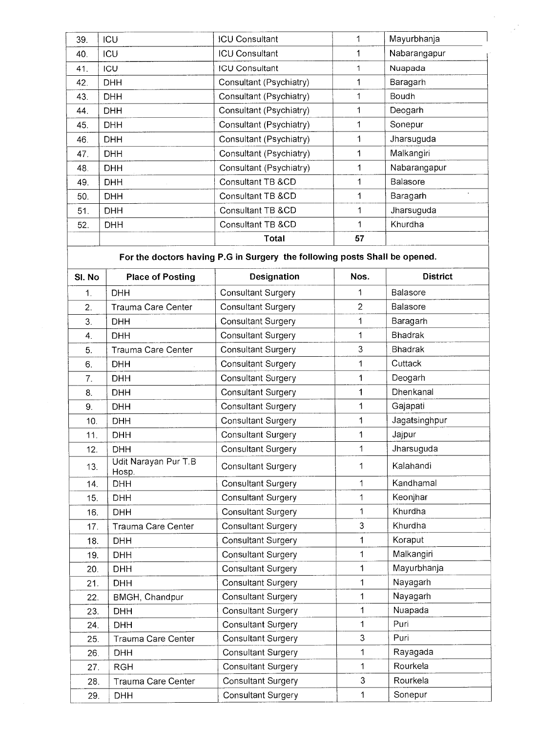| 39. | ICU        | <b>ICU Consultant</b>   |    | Mayurbhanja     |
|-----|------------|-------------------------|----|-----------------|
| 40. | <b>ICU</b> | <b>ICU Consultant</b>   |    | Nabarangapur    |
| 41. | ICU        | <b>ICU Consultant</b>   | 1. | Nuapada         |
| 42. | <b>DHH</b> | Consultant (Psychiatry) |    | Baragarh        |
| 43. | <b>DHH</b> | Consultant (Psychiatry) | 1  | <b>Boudh</b>    |
| 44. | DHH        | Consultant (Psychiatry) |    | Deogarh         |
| 45. | <b>DHH</b> | Consultant (Psychiatry) | 1  | Sonepur         |
| 46. | DHH.       | Consultant (Psychiatry) | 1  | Jharsuguda      |
| 47. | <b>DHH</b> | Consultant (Psychiatry) | 1  | Malkangiri      |
| 48. | <b>DHH</b> | Consultant (Psychiatry) | 1  | Nabarangapur    |
| 49. | <b>DHH</b> | Consultant TB &CD       | 1  | <b>Balasore</b> |
| 50. | <b>DHH</b> | Consultant TB &CD       |    | Baragarh        |
| 51. | <b>DHH</b> | Consultant TB &CD       |    | Jharsuguda      |
| 52. | <b>DHH</b> | Consultant TB &CD       | 1  | Khurdha         |
|     |            | Total                   | 57 |                 |

**For the doctors having P.G in Surgery the following posts Shall be opened.** 

| SI. No         | <b>Place of Posting</b>       | Designation               | Nos.           | <b>District</b> |
|----------------|-------------------------------|---------------------------|----------------|-----------------|
| $\mathbf{1}$ . | <b>DHH</b>                    | <b>Consultant Surgery</b> | 1              | <b>Balasore</b> |
| 2.             | <b>Trauma Care Center</b>     | <b>Consultant Surgery</b> | $\overline{2}$ | Balasore        |
| 3.             | <b>DHH</b>                    | <b>Consultant Surgery</b> | $\mathbf{1}$   | Baragarh        |
| 4.             | <b>DHH</b>                    | <b>Consultant Surgery</b> | $\mathbf{1}$   | <b>Bhadrak</b>  |
| 5.             | Trauma Care Center            | <b>Consultant Surgery</b> | 3              | <b>Bhadrak</b>  |
| 6.             | <b>DHH</b>                    | <b>Consultant Surgery</b> | 1              | Cuttack         |
| 7.             | <b>DHH</b>                    | <b>Consultant Surgery</b> | 1              | Deogarh         |
| 8.             | <b>DHH</b>                    | <b>Consultant Surgery</b> | 1              | Dhenkanal       |
| 9.             | <b>DHH</b>                    | <b>Consultant Surgery</b> | 1              | Gajapati        |
| 10.            | <b>DHH</b>                    | <b>Consultant Surgery</b> | 1              | Jagatsinghpur   |
| 11.            | <b>DHH</b>                    | <b>Consultant Surgery</b> | 1              | Jajpur          |
| 12.            | <b>DHH</b>                    | <b>Consultant Surgery</b> | $\mathbf 1$    | Jharsuguda      |
| 13.            | Udit Narayan Pur T.B<br>Hosp. | <b>Consultant Surgery</b> | 1              | Kalahandi       |
| 14.            | <b>DHH</b>                    | <b>Consultant Surgery</b> | 1              | Kandhamal       |
| 15.            | <b>DHH</b>                    | <b>Consultant Surgery</b> | 1              | Keonjhar        |
| 16.            | <b>DHH</b>                    | <b>Consultant Surgery</b> | 1              | Khurdha         |
| 17.            | Trauma Care Center            | <b>Consultant Surgery</b> | 3              | Khurdha         |
| 18.            | <b>DHH</b>                    | <b>Consultant Surgery</b> | $\mathbf{1}$   | Koraput         |
| 19.            | <b>DHH</b>                    | <b>Consultant Surgery</b> | $\mathbf 1$    | Malkangiri      |
| 20.            | <b>DHH</b>                    | <b>Consultant Surgery</b> | $\mathbf{1}$   | Mayurbhanja     |
| 21.            | <b>DHH</b>                    | <b>Consultant Surgery</b> | 1              | Nayagarh        |
| 22.            | BMGH, Chandpur                | <b>Consultant Surgery</b> | $\mathbf{1}$   | Nayagarh        |
| 23.            | <b>DHH</b>                    | <b>Consultant Surgery</b> | 1              | Nuapada         |
| 24.            | <b>DHH</b>                    | <b>Consultant Surgery</b> | $\mathbf{1}$   | Puri            |
| 25.            | <b>Trauma Care Center</b>     | <b>Consultant Surgery</b> | 3              | Puri            |
| 26.            | <b>DHH</b>                    | <b>Consultant Surgery</b> | 1              | Rayagada        |
| 27.            | <b>RGH</b>                    | <b>Consultant Surgery</b> | $\mathbf 1$    | Rourkela        |
| 28.            | Trauma Care Center            | <b>Consultant Surgery</b> | 3              | Rourkela        |
| 29.            | <b>DHH</b>                    | <b>Consultant Surgery</b> | 1              | Sonepur         |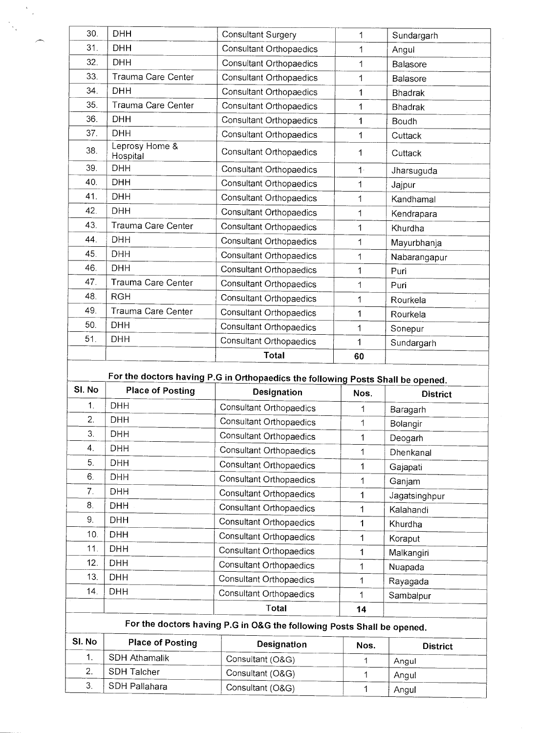| 30.            | <b>DHH</b>                 | Consultant Surgery                                                              | 1           | Sundargarh      |
|----------------|----------------------------|---------------------------------------------------------------------------------|-------------|-----------------|
| 31.            | <b>DHH</b>                 | <b>Consultant Orthopaedics</b>                                                  | 1           | Angul           |
| 32.            | <b>DHH</b>                 | Consultant Orthopaedics                                                         | 1           | Balasore        |
| 33.            | Trauma Care Center         | Consultant Orthopaedics                                                         | 1           | Balasore        |
| 34.            | DHH                        | Consultant Orthopaedics                                                         | 1           | <b>Bhadrak</b>  |
| 35.            | Trauma Care Center         | Consultant Orthopaedics                                                         | 1           | <b>Bhadrak</b>  |
| 36.            | <b>DHH</b>                 | <b>Consultant Orthopaedics</b>                                                  | 1           | Boudh           |
| 37.            | <b>DHH</b>                 | Consultant Orthopaedics                                                         | 1           | Cuttack         |
| 38.            | Leprosy Home &<br>Hospital | Consultant Orthopaedics                                                         | 1           | Cuttack         |
| 39.            | <b>DHH</b>                 | Consultant Orthopaedics                                                         | $1 -$       | Jharsuguda      |
| 40.            | <b>DHH</b>                 | Consultant Orthopaedics                                                         | 1           | Jajpur          |
| 41.            | <b>DHH</b>                 | Consultant Orthopaedics                                                         | 1           | Kandhamal       |
| 42.            | DHH                        | Consultant Orthopaedics                                                         | $\mathbf 1$ | Kendrapara      |
| 43.            | Trauma Care Center         | Consultant Orthopaedics                                                         | 1           | Khurdha         |
| 44.            | DHH                        | <b>Consultant Orthopaedics</b>                                                  | 1           | Mayurbhanja     |
| 45.            | <b>DHH</b>                 | Consultant Orthopaedics                                                         | 1           | Nabarangapur    |
| 46.            | <b>DHH</b>                 | Consultant Orthopaedics                                                         | 1           | Puri            |
| 47.            | Trauma Care Center         | <b>Consultant Orthopaedics</b>                                                  | 1           | Puri            |
| 48.            | <b>RGH</b>                 | Consultant Orthopaedics                                                         | 1           | Rourkela        |
| 49.            | Trauma Care Center         | Consultant Orthopaedics                                                         | 1           | Rourkela        |
| 50.            | DHH                        | Consultant Orthopaedics                                                         | 1           | Sonepur         |
| 51.            | DHH                        | Consultant Orthopaedics                                                         | 1           | Sundargarh      |
|                |                            | <b>Total</b>                                                                    | 60          |                 |
|                |                            | For the doctors having P.G in Orthopaedics the following Posts Shall be opened. |             |                 |
| SI. No         | <b>Place of Posting</b>    | Designation                                                                     | Nos.        | <b>District</b> |
| 1.             | <b>DHH</b>                 | Consultant Orthopaedics                                                         | 1           | Baragarh        |
| $\overline{2}$ | <b>DHH</b>                 | Consultant Orthopaedics                                                         | 1           | Bolangir        |
| 3.             | <b>DHH</b>                 | Consultant Orthopaedics                                                         | 1           | Deogarh         |
| 4.             | <b>DHH</b>                 | Consultant Orthopaedics                                                         | 1           | Dhenkanal       |
| 5.             | <b>DHH</b>                 | Consultant Orthopaedics                                                         | 1           | Gajapati        |
| 6.             | <b>DHH</b>                 | Consultant Orthopaedics                                                         | 1           | Ganjam          |
| 7.             | DHH                        | Consultant Orthopaedics                                                         | 1           | Jagatsinghpur   |
| 8.             | <b>DHH</b>                 | Consultant Orthopaedics                                                         | 1           | Kalahandi       |

 $\frac{1}{\sqrt{2}}$ 

 $\overline{\phantom{0}}$ 

 $\frac{1}{2} \sum_{i=1}^{n} \frac{1}{2} \sum_{j=1}^{n} \frac{1}{2} \sum_{j=1}^{n} \frac{1}{2} \sum_{j=1}^{n} \frac{1}{2} \sum_{j=1}^{n} \frac{1}{2} \sum_{j=1}^{n} \frac{1}{2} \sum_{j=1}^{n} \frac{1}{2} \sum_{j=1}^{n} \frac{1}{2} \sum_{j=1}^{n} \frac{1}{2} \sum_{j=1}^{n} \frac{1}{2} \sum_{j=1}^{n} \frac{1}{2} \sum_{j=1}^{n} \frac{1}{2} \sum_{j=1}^{n$ 

| SI. No<br>1.<br>2.<br>3. | <b>Place of Posting</b><br><b>SDH Athamalik</b><br>SDH Talcher<br>SDH Pallahara | Designation<br>Consultant (O&G)<br>Consultant (O&G)<br>Consultant (O&G) | Nos. | <b>District</b><br>Angul<br>Angul |
|--------------------------|---------------------------------------------------------------------------------|-------------------------------------------------------------------------|------|-----------------------------------|
|                          |                                                                                 |                                                                         |      |                                   |
|                          |                                                                                 |                                                                         |      |                                   |
|                          |                                                                                 |                                                                         |      |                                   |
|                          |                                                                                 | For the doctors having P.G in O&G the following Posts Shall be opened.  |      |                                   |
|                          |                                                                                 | Total                                                                   | 14   |                                   |
| 14.                      | DHH.                                                                            | Consultant Orthopaedics                                                 |      | Sambalpur                         |
| 13.                      | DHH.                                                                            | Consultant Orthopaedics                                                 |      | Rayagada                          |
|                          |                                                                                 | Consultant Orthopaedics                                                 |      | Nuapada                           |

9. DHH Consultant Orthopaedics 1 Khurdha<br>10. DHH Consultant Orthopaedics 1 Koranut 10. DHH Consultant Orthopaedics 1 Koraput<br>11. DHH Consultant Orthopaedics 1 Malkang 11. DHH Consultant Orthopaedics 1 Malkangiri<br>12. DHH Consultant Orthopaedics 1 Nuanada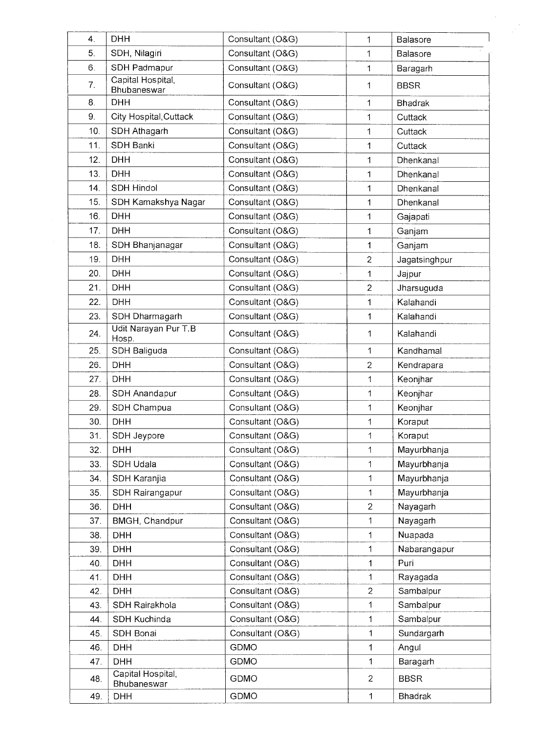| 4.  | <b>DHH</b>                       | Consultant (O&G) | $\mathbf{1}$   | Balasore       |
|-----|----------------------------------|------------------|----------------|----------------|
| 5.  | SDH, Nilagiri                    | Consultant (O&G) | 1              | Balasore       |
| 6.  | SDH Padmapur                     | Consultant (O&G) | $\mathbf{1}$   | Baragarh       |
| 7.  | Capital Hospital,<br>Bhubaneswar | Consultant (O&G) | 1              | <b>BBSR</b>    |
| 8.  | <b>DHH</b>                       | Consultant (O&G) | 1              | <b>Bhadrak</b> |
| 9.  | City Hospital, Cuttack           | Consultant (O&G) | 1              | Cuttack        |
| 10. | SDH Athagarh                     | Consultant (O&G) | 1              | Cuttack        |
| 11. | SDH Banki                        | Consultant (O&G) | 1              | Cuttack        |
| 12. | <b>DHH</b>                       | Consultant (O&G) | 1              | Dhenkanal      |
| 13. | <b>DHH</b>                       | Consultant (O&G) | 1              | Dhenkanal      |
| 14. | SDH Hindol                       | Consultant (O&G) | $\mathbf{1}$   | Dhenkanal      |
| 15. | SDH Kamakshya Nagar              | Consultant (O&G) | 1              | Dhenkanal      |
| 16. | <b>DHH</b>                       | Consultant (O&G) | 1              | Gajapati       |
| 17. | <b>DHH</b>                       | Consultant (O&G) | 1              | Ganjam         |
| 18. | SDH Bhanjanagar                  | Consultant (O&G) | 1              | Ganjam         |
| 19. | <b>DHH</b>                       | Consultant (O&G) | $\overline{2}$ | Jagatsinghpur  |
| 20. | <b>DHH</b>                       | Consultant (O&G) | 1              | Jajpur         |
| 21. | <b>DHH</b>                       | Consultant (O&G) | $\overline{2}$ | Jharsuguda     |
| 22. | <b>DHH</b>                       | Consultant (O&G) | 1              | Kalahandi      |
| 23. | SDH Dharmagarh                   | Consultant (O&G) | 1              | Kalahandi      |
| 24. | Udit Narayan Pur T.B<br>Hosp.    | Consultant (O&G) | 1              | Kalahandi      |
| 25. | SDH Baliguda                     | Consultant (O&G) | 1              | Kandhamal      |
| 26. | <b>DHH</b>                       | Consultant (O&G) | $\overline{c}$ | Kendrapara     |
| 27. | <b>DHH</b>                       | Consultant (O&G) | 1              | Keonjhar       |
| 28. | SDH Anandapur                    | Consultant (O&G) | 1              | Keonjhar       |
| 29. | SDH Champua                      | Consultant (O&G) | 1              | Keonjhar       |
| 30. | <b>DHH</b>                       | Consultant (O&G) | 1              | Koraput        |
| 31. | SDH Jeypore                      | Consultant (O&G) | $\mathbf 1$    | Koraput        |
| 32. | <b>DHH</b>                       | Consultant (O&G) | $\mathbf 1$    | Mayurbhanja    |
| 33. | SDH Udala                        | Consultant (O&G) | 1              | Mayurbhanja    |
| 34. | SDH Karanjia                     | Consultant (O&G) | 1              | Mayurbhanja    |
| 35  | SDH Rairangapur                  | Consultant (O&G) | $\mathbf 1$    | Mayurbhanja    |
| 36. | <b>DHH</b>                       | Consultant (O&G) | $\overline{c}$ | Nayagarh       |
| 37. | BMGH, Chandpur                   | Consultant (O&G) | 1              | Nayagarh       |
| 38. | <b>DHH</b>                       | Consultant (O&G) | $\mathbf 1$    | Nuapada        |
| 39. | <b>DHH</b>                       | Consultant (O&G) | 1              | Nabarangapur   |
| 40. | <b>DHH</b>                       | Consultant (O&G) | $\mathbf{1}$   | Puri           |
| 41. | <b>DHH</b>                       | Consultant (O&G) | $\mathbf 1$    | Rayagada       |
| 42. | <b>DHH</b>                       | Consultant (O&G) | $\overline{2}$ | Sambalpur      |
| 43. | SDH Rairakhola                   | Consultant (O&G) | $\mathbf 1$    | Sambalpur      |
| 44. | SDH Kuchinda                     | Consultant (O&G) | $\mathbf 1$    | Sambalpur      |
| 45. | SDH Bonai                        | Consultant (O&G) | 1              | Sundargarh     |
| 46. | <b>DHH</b>                       | <b>GDMO</b>      | 1              | Angul          |
| 47. | <b>DHH</b>                       | <b>GDMO</b>      | 1              | Baragarh       |
|     | Capital Hospital,                |                  |                |                |
| 48. | Bhubaneswar                      | <b>GDMO</b>      | $\overline{c}$ | <b>BBSR</b>    |
| 49. | <b>DHH</b>                       | GDMO             | 1              | Bhadrak        |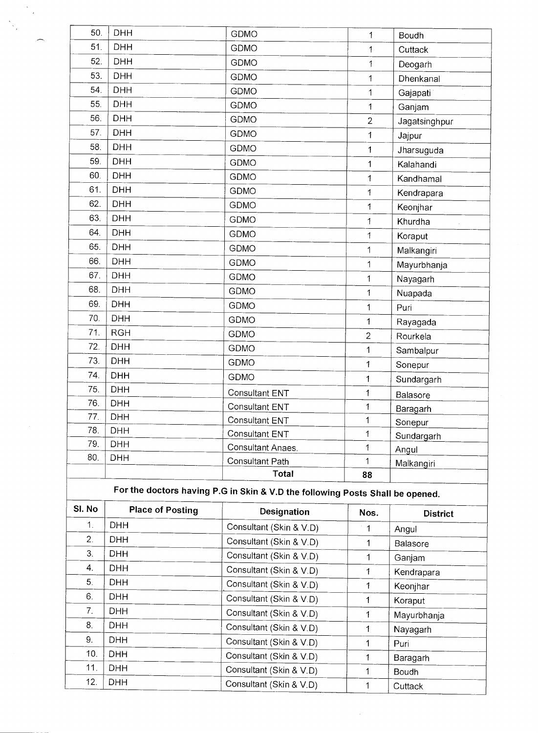|            |                          | Total<br>For the doctors having P.G in Skin & V.D the following Posts Shall be opened. | 88             |               |
|------------|--------------------------|----------------------------------------------------------------------------------------|----------------|---------------|
|            |                          | Consultant Path                                                                        | 1              | Malkangiri    |
| 80.        | <b>DHH</b>               | Consultant Anaes.                                                                      | 1              | Angul         |
| 79.        | <b>DHH</b>               | Consultant ENT                                                                         | 1              | Sundargarh    |
| 78.        | DHH                      | Consultant ENT                                                                         | 1              | Sonepur       |
| 77.        | <b>DHH</b><br><b>DHH</b> | Consultant ENT                                                                         | 1              | Baragarh      |
| 75.<br>76. | <b>DHH</b>               | Consultant ENT                                                                         | 1              | Balasore      |
| 74.        | <b>DHH</b>               | GDMO                                                                                   | 1              | Sundargarh    |
| 73.        | <b>DHH</b>               | <b>GDMO</b>                                                                            | 1              | Sonepur       |
|            |                          | GDMO                                                                                   | 1              | Sambalpur     |
| 72.        | DHH                      | <b>GDMO</b>                                                                            | $\overline{2}$ | Rourkela      |
| 71.        | <b>RGH</b>               | GDMO                                                                                   | 1              | Rayagada      |
| 70.        | <b>DHH</b>               | <b>GDMO</b>                                                                            | 1              | Puri          |
| 69.        | <b>DHH</b>               |                                                                                        | 1              | Nuapada       |
| 68.        | <b>DHH</b>               | GDMO                                                                                   | 1              | Nayagarh      |
| 67.        | <b>DHH</b>               | <b>GDMO</b><br><b>GDMO</b>                                                             | $\mathbf 1$    | Mayurbhanja   |
| 66.        | <b>DHH</b>               | <b>GDMO</b>                                                                            | $\mathbf 1$    | Malkangiri    |
| 65.        | <b>DHH</b>               | GDMO                                                                                   | 1              | Koraput       |
| 64.        | <b>DHH</b>               |                                                                                        | $\mathbf{1}$   | Khurdha       |
| 63.        | <b>DHH</b>               | <b>GDMO</b>                                                                            | 1              | Keonjhar      |
| 62.        | DHH                      | <b>GDMO</b>                                                                            | 1              | Kendrapara    |
| 61.        | <b>DHH</b>               | <b>GDMO</b>                                                                            | 1              | Kandhamal     |
| 60.        | <b>DHH</b>               | <b>GDMO</b>                                                                            | 1              | Kalahandi     |
| 59.        | <b>DHH</b>               | GDMO                                                                                   | 1              | Jharsuguda    |
| 58.        | <b>DHH</b>               | GDMO                                                                                   | 1              | Jajpur        |
| 57.        | <b>DHH</b>               | GDMO                                                                                   | $\overline{2}$ | Jagatsinghpur |
| 56.        | <b>DHH</b>               | GDMO                                                                                   | 1              | Ganjam        |
| 55.        | <b>DHH</b>               | GDMO                                                                                   | 1              | Gajapati      |
| 54.        | <b>DHH</b>               | <b>GDMO</b>                                                                            | 1              | Dhenkanal     |
| 53.        | <b>DHH</b>               | <b>GDMO</b>                                                                            | $\mathbf{1}$   | Deogarh       |
| 52.        | <b>DHH</b>               | GDMO<br>GDMO                                                                           | $\mathbf{1}$   | Cuttack       |
| 51.        | <b>DHH</b>               | <b>GDMO</b>                                                                            | 1              | Boudh         |
| 50.        | <b>DHH</b>               |                                                                                        |                |               |

# **For the doctors having P.G in Skin & V.D the following Posts Shall be opened.**

| SI. No | <b>Place of Posting</b> | <b>Designation</b>      | Nos.        | <b>District</b> |
|--------|-------------------------|-------------------------|-------------|-----------------|
| 1.     | <b>DHH</b>              | Consultant (Skin & V.D) | 11          | Angul           |
| 2.     | <b>DHH</b>              | Consultant (Skin & V.D) | 1           | Balasore        |
| 3.     | <b>DHH</b>              | Consultant (Skin & V.D) |             | Ganjam          |
| 4.     | <b>DHH</b>              | Consultant (Skin & V.D) |             | Kendrapara      |
| 5.     | <b>DHH</b>              | Consultant (Skin & V.D) |             | Keonjhar        |
| 6.     | <b>DHH</b>              | Consultant (Skin & V.D) |             | Koraput         |
| 7.     | <b>DHH</b>              | Consultant (Skin & V.D) | 1.          | Mayurbhanja     |
| 8.     | <b>DHH</b>              | Consultant (Skin & V.D) | 1.          | Nayagarh        |
| 9.     | <b>DHH</b>              | Consultant (Skin & V.D) | $\mathbf 1$ | Puri            |
| 10.    | <b>DHH</b>              | Consultant (Skin & V.D) | 1           | Baragarh        |
| 11.    | <b>DHH</b>              | Consultant (Skin & V.D) |             | Boudh           |
| 12.    | <b>DHH</b>              | Consultant (Skin & V.D) | 1           | Cuttack         |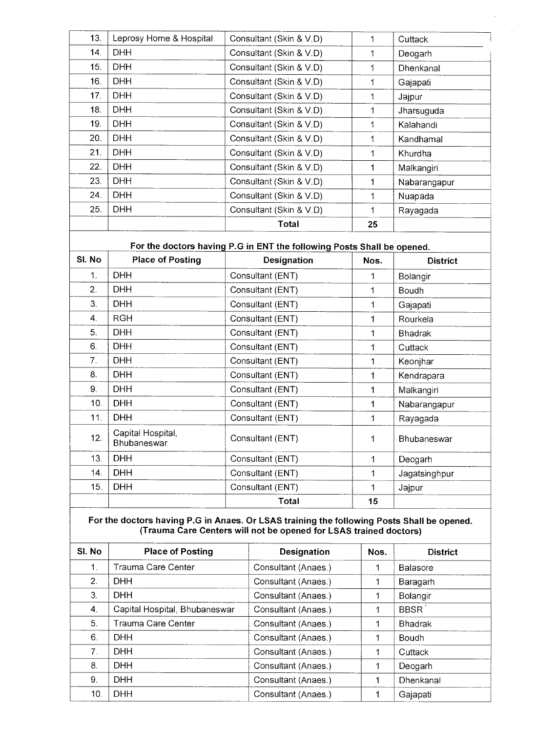|     |                         | Total                   | 25 |                  |
|-----|-------------------------|-------------------------|----|------------------|
| 25. | <b>DHH</b>              | Consultant (Skin & V.D) | 1  | Rayagada         |
| 24. | <b>DHH</b>              | Consultant (Skin & V.D) | 1  | Nuapada          |
| 23. | <b>DHH</b>              | Consultant (Skin & V.D) | 1  | Nabarangapur     |
| 22. | <b>DHH</b>              | Consultant (Skin & V.D) | 1  | Malkangiri       |
| 21. | <b>DHH</b>              | Consultant (Skin & V.D) | 1  | Khurdha          |
| 20. | <b>DHH</b>              | Consultant (Skin & V.D) | 1  | Kandhamal        |
| 19. | <b>DHH</b>              | Consultant (Skin & V.D) |    | Kalahandi        |
| 18. | <b>DHH</b>              | Consultant (Skin & V.D) | 1  | Jharsuguda       |
| 17. | <b>DHH</b>              | Consultant (Skin & V.D) | 1. | Jajpur           |
| 16. | <b>DHH</b>              | Consultant (Skin & V.D) |    | Gajapati         |
| 15. | <b>DHH</b>              | Consultant (Skin & V.D) |    | <b>Dhenkanal</b> |
| 14. | <b>DHH</b>              | Consultant (Skin & V.D) | 1. | Deogarh          |
| 13. | Leprosy Home & Hospital | Consultant (Skin & V.D) |    | Cuttack          |

### **For the doctors having P.G in ENT the following Posts Shall be opened.**

| SI. No | <b>Place of Posting</b>          | <b>Designation</b> | Nos.           | <b>District</b> |
|--------|----------------------------------|--------------------|----------------|-----------------|
| 1.     | <b>DHH</b>                       | Consultant (ENT)   | 1              | Bolangir        |
| 2.     | <b>DHH</b>                       | Consultant (ENT)   | 1              | Boudh           |
| 3.     | <b>DHH</b>                       | Consultant (ENT)   | 1              | Gajapati        |
| 4.     | <b>RGH</b>                       | Consultant (ENT)   | 1              | Rourkela        |
| 5.     | <b>DHH</b>                       | Consultant (ENT)   | 1              | <b>Bhadrak</b>  |
| 6.     | <b>DHH</b>                       | Consultant (ENT)   | 1              | Cuttack         |
| 7.     | <b>DHH</b>                       | Consultant (ENT)   | 1 <sub>1</sub> | Keonjhar        |
| 8.     | <b>DHH</b>                       | Consultant (ENT)   | 1              | Kendrapara      |
| 9.     | <b>DHH</b>                       | Consultant (ENT)   | 1              | Malkangiri      |
| 10.    | <b>DHH</b>                       | Consultant (ENT)   |                | Nabarangapur    |
| 11.    | <b>DHH</b>                       | Consultant (ENT)   | 1              | Rayagada        |
| 12.    | Capital Hospital,<br>Bhubaneswar | Consultant (ENT)   | 1              | Bhubaneswar     |
| 13.    | <b>DHH</b>                       | Consultant (ENT)   | 1              | Deogarh         |
| 14.    | <b>DHH</b>                       | Consultant (ENT)   | 1              | Jagatsinghpur   |
| 15.    | <b>DHH</b>                       | Consultant (ENT)   | 1              | Jajpur          |
|        |                                  | Total              | 15             |                 |

#### **For the doctors having P.G in Anaes. Or LSAS training the following Posts Shall be opened. (Trauma Care Centers will not be opened for LSAS trained doctors)**

| SI. No | <b>Place of Posting</b>       | <b>Designation</b>  | Nos. | <b>District</b> |
|--------|-------------------------------|---------------------|------|-----------------|
| 1.     | Trauma Care Center            | Consultant (Anaes.) |      | <b>Balasore</b> |
| 2.     | <b>DHH</b>                    | Consultant (Anaes.) | 1    | Baragarh        |
| 3.     | <b>DHH</b>                    | Consultant (Anaes.) |      | Bolangir        |
| 4.     | Capital Hospital, Bhubaneswar | Consultant (Anaes.) |      | <b>BBSR</b>     |
| 5.     | Trauma Care Center            | Consultant (Anaes.) |      | <b>Bhadrak</b>  |
| 6.     | <b>DHH</b>                    | Consultant (Anaes.) |      | Boudh           |
| 7.     | <b>DHH</b>                    | Consultant (Anaes.) |      | Cuttack         |
| 8.     | <b>DHH</b>                    | Consultant (Anaes.) | 1    | Deogarh         |
| 9.     | DHH                           | Consultant (Anaes.) | 1    | Dhenkanal       |
| 10.    | <b>DHH</b>                    | Consultant (Anaes.) |      | Gajapati        |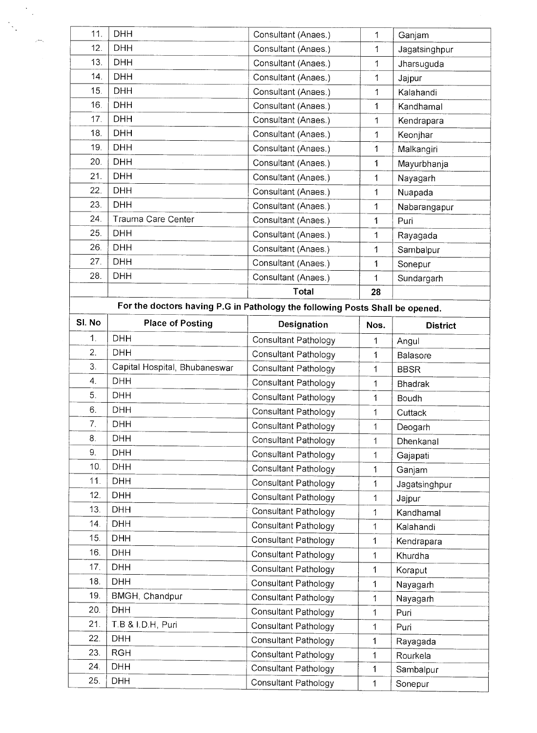| 11.    | <b>DHH</b>                                                                   | Consultant (Anaes.)         | 1            | Ganjam          |
|--------|------------------------------------------------------------------------------|-----------------------------|--------------|-----------------|
| 12.    | <b>DHH</b>                                                                   | Consultant (Anaes.)         | 1            | Jagatsinghpur   |
| 13.    | <b>DHH</b>                                                                   | Consultant (Anaes.)         | 1            | Jharsuguda      |
| 14.    | <b>DHH</b>                                                                   | Consultant (Anaes.)         | 1            | Jajpur          |
| 15.    | <b>DHH</b>                                                                   | Consultant (Anaes.)         | 1            | Kalahandi       |
| 16.    | <b>DHH</b>                                                                   | Consultant (Anaes.)         | 1            | Kandhamal       |
| 17.    | <b>DHH</b>                                                                   | Consultant (Anaes.)         | 1            | Kendrapara      |
| 18.    | <b>DHH</b>                                                                   | Consultant (Anaes.)         | 1            | Keonjhar        |
| 19.    | <b>DHH</b>                                                                   | Consultant (Anaes.)         | 1            | Malkangiri      |
| 20.    | <b>DHH</b>                                                                   | Consultant (Anaes.)         | 1            | Mayurbhanja     |
| 21.    | <b>DHH</b>                                                                   | Consultant (Anaes.)         | 1            | Nayagarh        |
| 22.    | <b>DHH</b>                                                                   | Consultant (Anaes.)         | 1            | Nuapada         |
| 23.    | <b>DHH</b>                                                                   | Consultant (Anaes.)         | $\mathbf{1}$ | Nabarangapur    |
| 24.    | Trauma Care Center                                                           | Consultant (Anaes.)         | 1            | Puri            |
| 25.    | <b>DHH</b>                                                                   | Consultant (Anaes.)         | 1            | Rayagada        |
| 26.    | <b>DHH</b>                                                                   | Consultant (Anaes.)         | $\mathbf{1}$ | Sambalpur       |
| 27.    | <b>DHH</b>                                                                   | Consultant (Anaes.)         | 1            | Sonepur         |
| 28.    | <b>DHH</b>                                                                   | Consultant (Anaes.)         | 1            | Sundargarh      |
|        |                                                                              | Total                       | 28           |                 |
|        | For the doctors having P.G in Pathology the following Posts Shall be opened. |                             |              |                 |
| SI. No | <b>Place of Posting</b>                                                      |                             |              |                 |
| 1.     |                                                                              | Designation                 | Nos.         | <b>District</b> |
| 2.     | <b>DHH</b><br><b>DHH</b>                                                     | Consultant Pathology        | 1            | Angul           |
| 3.     |                                                                              | Consultant Pathology        | 1            | Balasore        |
|        | Capital Hospital, Bhubaneswar                                                | Consultant Pathology        | 1            | <b>BBSR</b>     |
| 4.     | <b>DHH</b>                                                                   | Consultant Pathology        | 1            | <b>Bhadrak</b>  |
| 5.     | <b>DHH</b>                                                                   | Consultant Pathology        | 1            | Boudh           |
| 6.     | <b>DHH</b>                                                                   | Consultant Pathology        | 1            | Cuttack         |
| 7.     | <b>DHH</b>                                                                   | Consultant Pathology        | 1            | Deogarh         |
| 8.     | <b>DHH</b>                                                                   | Consultant Pathology        | 1            | Dhenkanal       |
| 9.     | <b>DHH</b>                                                                   | Consultant Pathology        | 1            | Gajapati        |
| 10.    | <b>DHH</b>                                                                   | Consultant Pathology        | 1            | Ganjam          |
| 11.    | <b>DHH</b>                                                                   | Consultant Pathology        | 1            | Jagatsinghpur   |
| 12.    | DHH                                                                          | Consultant Pathology        | 1            | Jajpur          |
| 13.    | <b>DHH</b>                                                                   | Consultant Pathology        | 1            | Kandhamal       |
| 14.    | <b>DHH</b>                                                                   | Consultant Pathology        | $\mathbf 1$  | Kalahandi       |
| 15.    | <b>DHH</b>                                                                   | Consultant Pathology        | 1            | Kendrapara      |
| 16.    | <b>DHH</b>                                                                   | Consultant Pathology        | 1            | Khurdha         |
| 17.    | <b>DHH</b>                                                                   | Consultant Pathology        | 1            | Koraput         |
| 18.    | <b>DHH</b>                                                                   | Consultant Pathology        | 1            | Nayagarh        |
| 19.    | BMGH, Chandpur                                                               | Consultant Pathology        | 1            | Nayagarh        |
| 20.    | <b>DHH</b>                                                                   | <b>Consultant Pathology</b> | 1            | Puri            |
| 21.    | T.B & I.D.H, Puri                                                            | <b>Consultant Pathology</b> | 1            | Puri            |
| 22.    | <b>DHH</b>                                                                   | <b>Consultant Pathology</b> | $\mathbf{1}$ | Rayagada        |
| 23.    | <b>RGH</b>                                                                   | Consultant Pathology        | 1            | Rourkela        |
| 24.    | <b>DHH</b>                                                                   | Consultant Pathology        | 1            | Sambalpur       |
|        |                                                                              |                             |              |                 |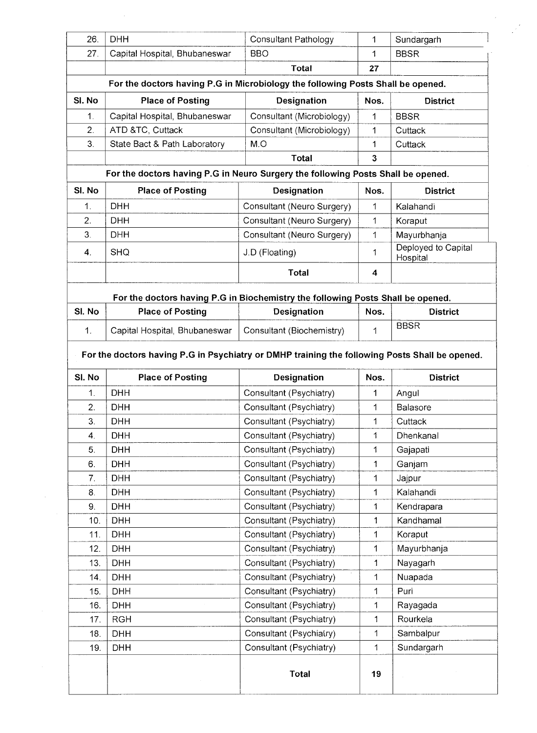| 26.    | <b>DHH</b><br><b>Consultant Pathology</b>                                                      |                            | 1                       | Sundargarh                      |  |  |  |  |
|--------|------------------------------------------------------------------------------------------------|----------------------------|-------------------------|---------------------------------|--|--|--|--|
| 27.    | Capital Hospital, Bhubaneswar                                                                  | <b>BBO</b>                 | 1                       | <b>BBSR</b>                     |  |  |  |  |
|        |                                                                                                | <b>Total</b>               | 27                      |                                 |  |  |  |  |
|        | For the doctors having P.G in Microbiology the following Posts Shall be opened.                |                            |                         |                                 |  |  |  |  |
| SI. No | <b>Place of Posting</b>                                                                        | Designation                | Nos.                    | <b>District</b>                 |  |  |  |  |
| 1.     | Capital Hospital, Bhubaneswar                                                                  | Consultant (Microbiology)  | 1                       | <b>BBSR</b>                     |  |  |  |  |
| 2.     | ATD &TC, Cuttack                                                                               | Consultant (Microbiology)  | 1                       | Cuttack                         |  |  |  |  |
| 3.     | State Bact & Path Laboratory                                                                   | M.O                        | 1                       | Cuttack                         |  |  |  |  |
|        |                                                                                                | <b>Total</b>               | $\overline{\mathbf{3}}$ |                                 |  |  |  |  |
|        | For the doctors having P.G in Neuro Surgery the following Posts Shall be opened.               |                            |                         |                                 |  |  |  |  |
| SI. No | <b>Place of Posting</b>                                                                        | <b>Designation</b>         | Nos.                    | <b>District</b>                 |  |  |  |  |
| 1.     | <b>DHH</b>                                                                                     | Consultant (Neuro Surgery) | 1                       | Kalahandi                       |  |  |  |  |
| 2.     | <b>DHH</b>                                                                                     | Consultant (Neuro Surgery) | 1                       | Koraput                         |  |  |  |  |
| 3.     | <b>DHH</b>                                                                                     | Consultant (Neuro Surgery) | 1                       | Mayurbhanja                     |  |  |  |  |
| 4.     | <b>SHQ</b>                                                                                     | J.D (Floating)             | 1                       | Deployed to Capital<br>Hospital |  |  |  |  |
|        |                                                                                                | <b>Total</b>               | 4                       |                                 |  |  |  |  |
|        | For the doctors having P.G in Biochemistry the following Posts Shall be opened.                |                            |                         |                                 |  |  |  |  |
| SI. No | <b>Place of Posting</b>                                                                        | Designation                | Nos.                    | <b>District</b>                 |  |  |  |  |
| 1.     | Capital Hospital, Bhubaneswar                                                                  | Consultant (Biochemistry)  | 1                       | <b>BBSR</b>                     |  |  |  |  |
|        |                                                                                                |                            |                         |                                 |  |  |  |  |
|        | For the doctors having P.G in Psychiatry or DMHP training the following Posts Shall be opened. |                            |                         |                                 |  |  |  |  |
|        |                                                                                                |                            |                         |                                 |  |  |  |  |
| SI. No | <b>Place of Posting</b>                                                                        | Designation                | Nos.                    | <b>District</b>                 |  |  |  |  |
| 1.     | <b>DHH</b>                                                                                     | Consultant (Psychiatry)    | 1                       | Angul                           |  |  |  |  |
| 2.     | <b>DHH</b>                                                                                     | Consultant (Psychiatry)    | 1                       | <b>Balasore</b>                 |  |  |  |  |
| 3.     | <b>DHH</b>                                                                                     | Consultant (Psychiatry)    | 1                       | Cuttack                         |  |  |  |  |
| 4.     | <b>DHH</b>                                                                                     | Consultant (Psychiatry)    | 1                       | Dhenkanal                       |  |  |  |  |
| 5.     | <b>DHH</b>                                                                                     | Consultant (Psychiatry)    | 1                       | Gajapati                        |  |  |  |  |
| 6.     | <b>DHH</b>                                                                                     | Consultant (Psychiatry)    | $\mathbf{1}$            | Ganjam                          |  |  |  |  |
| 7.     | <b>DHH</b>                                                                                     | Consultant (Psychiatry)    | $\mathbf 1$             | Jajpur                          |  |  |  |  |
| 8.     | <b>DHH</b>                                                                                     | Consultant (Psychiatry)    | $\mathbf 1$             | Kalahandi                       |  |  |  |  |
| 9.     | <b>DHH</b>                                                                                     | Consultant (Psychiatry)    | 1                       | Kendrapara                      |  |  |  |  |
| 10.    | <b>DHH</b>                                                                                     | Consultant (Psychiatry)    | $\mathbf{1}$            | Kandhamal                       |  |  |  |  |
| 11.    | <b>DHH</b>                                                                                     | Consultant (Psychiatry)    | $\mathbf 1$             | Koraput                         |  |  |  |  |
| 12.    | <b>DHH</b>                                                                                     | Consultant (Psychiatry)    | $\mathbf 1$             | Mayurbhanja                     |  |  |  |  |
| 13.    | <b>DHH</b>                                                                                     | Consultant (Psychiatry)    | $\mathbf{1}$            | Nayagarh                        |  |  |  |  |
| 14.    | <b>DHH</b>                                                                                     | Consultant (Psychiatry)    | $\mathbf 1$             | Nuapada                         |  |  |  |  |
| 15.    | <b>DHH</b>                                                                                     | Consultant (Psychiatry)    | 1                       | Puri                            |  |  |  |  |
| 16.    | <b>DHH</b>                                                                                     | Consultant (Psychiatry)    | $\ddagger$              | Rayagada                        |  |  |  |  |
| 17.    | <b>RGH</b>                                                                                     | Consultant (Psychiatry)    | $\mathbf{1}$            | Rourkela                        |  |  |  |  |
| 18.    | <b>DHH</b>                                                                                     | Consultant (Psychiatry)    | 1                       | Sambalpur                       |  |  |  |  |
| 19.    | <b>DHH</b>                                                                                     | Consultant (Psychiatry)    | 1                       | Sundargarh                      |  |  |  |  |
|        |                                                                                                |                            |                         |                                 |  |  |  |  |

 $\bar{\gamma}$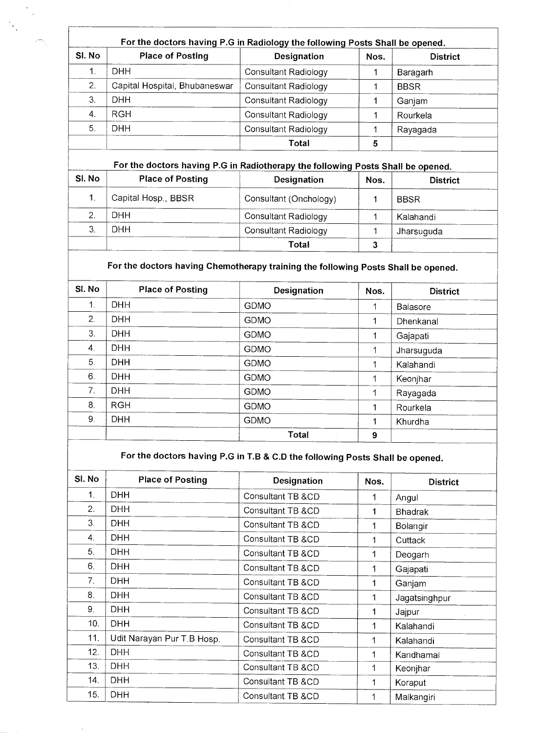| SI. No | <b>Place of Posting</b>       | <b>Designation</b>          | Nos. | <b>District</b> |
|--------|-------------------------------|-----------------------------|------|-----------------|
| 1.     | DHH                           | <b>Consultant Radiology</b> |      | Baragarh        |
| 2.     | Capital Hospital, Bhubaneswar | <b>Consultant Radiology</b> |      | <b>BBSR</b>     |
| 3.     | DHH.                          | <b>Consultant Radiology</b> |      | Ganjam          |
| 4.     | <b>RGH</b>                    | <b>Consultant Radiology</b> |      | Rourkela        |
| 5.     | DHH                           | Consultant Radiology        |      | Rayagada        |
|        |                               | Total                       | 5    |                 |

 $\frac{1}{2}$ 

 $\Gamma$ 

### **For the doctors having P.G in Radiotherapy the following Posts Shall be opened.**

| SI. No | <b>Place of Posting</b> | Designation                 | Nos. | <b>District</b> |
|--------|-------------------------|-----------------------------|------|-----------------|
|        | Capital Hosp., BBSR     | Consultant (Onchology)      |      | <b>BBSR</b>     |
|        | DHH                     | <b>Consultant Radiology</b> |      | Kalahandi       |
|        | DHH                     | <b>Consultant Radiology</b> |      | Jharsuguda      |
|        |                         | Total                       |      |                 |

## **For the doctors having Chemotherapy training the following Posts Shall be opened.**

| SI. No         | <b>Place of Posting</b> | Designation  | Nos. | <b>District</b> |
|----------------|-------------------------|--------------|------|-----------------|
| 1.             | <b>DHH</b>              | <b>GDMO</b>  | 1    | <b>Balasore</b> |
| 2.             | <b>DHH</b>              | <b>GDMO</b>  | 1    | Dhenkanal       |
| 3.             | <b>DHH</b>              | <b>GDMO</b>  | 1    | Gajapati        |
| $\mathbf{4}$ . | <b>DHH</b>              | <b>GDMO</b>  | 1    | Jharsuguda      |
| 5.             | <b>DHH</b>              | <b>GDMO</b>  | 4    | Kalahandi       |
| 6.             | <b>DHH</b>              | <b>GDMO</b>  | 1    | Keonihar        |
| 7.             | <b>DHH</b>              | <b>GDMO</b>  | 1    | Rayagada        |
| 8.             | <b>RGH</b>              | <b>GDMO</b>  | 1    | Rourkela        |
| 9.             | <b>DHH</b>              | <b>GDMO</b>  | 1    | Khurdha         |
|                |                         | <b>Total</b> | 9    |                 |

## **For the doctors having P.G in T.B & C.D the following Posts Shall be opened.**

| SI. No | <b>Place of Posting</b>    | <b>Designation</b> | Nos. | <b>District</b> |
|--------|----------------------------|--------------------|------|-----------------|
| 1.     | <b>DHH</b>                 | Consultant TB &CD  | 1    | Angul           |
| 2.     | <b>DHH</b>                 | Consultant TB &CD  | 1    | <b>Bhadrak</b>  |
| 3.     | <b>DHH</b>                 | Consultant TB &CD  | 1    | Bolangir        |
| 4.     | DHH.                       | Consultant TB &CD  | 1    | Cuttack         |
| 5.     | DHH                        | Consultant TB &CD  | 1    | Deogarh         |
| 6.     | <b>DHH</b>                 | Consultant TB &CD  | 1    | Gajapati        |
| 7.     | <b>DHH</b>                 | Consultant TB &CD  | 1    | Ganjam          |
| 8.     | <b>DHH</b>                 | Consultant TB &CD  | 1    | Jagatsinghpur   |
| 9.     | DHH.                       | Consultant TB &CD  | 1    | Jajpur          |
| 10.    | <b>DHH</b>                 | Consultant TB &CD  | 1    | Kalahandi       |
| 11.    | Udit Narayan Pur T.B Hosp. | Consultant TB &CD  | 1    | Kalahandi       |
| 12.    | <b>DHH</b>                 | Consultant TB &CD  | 1    | Kandhamal       |
| 13.    | <b>DHH</b>                 | Consultant TB &CD  | 1    | Keonjhar        |
| 14.    | <b>DHH</b>                 | Consultant TB &CD  | 1    | Koraput         |
| 15.    | DHH                        | Consultant TB &CD  | 1    | Malkangiri      |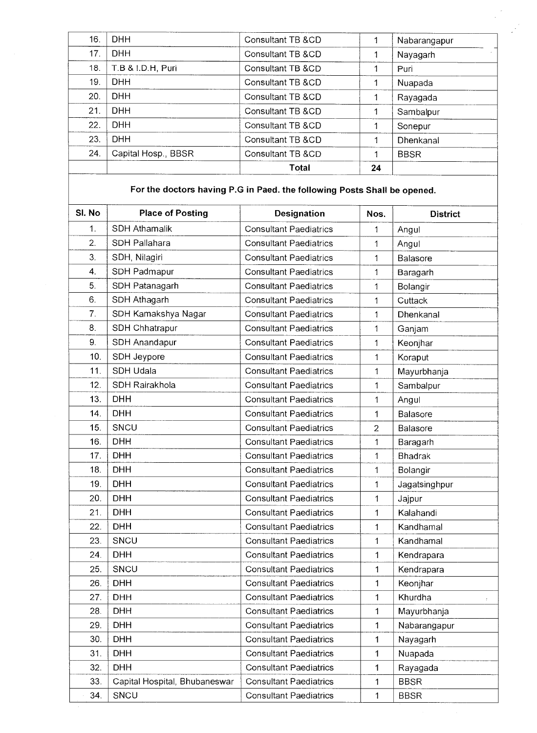|     |                     | Total             | 24 |              |
|-----|---------------------|-------------------|----|--------------|
| 24. | Capital Hosp., BBSR | Consultant TB &CD |    | <b>BBSR</b>  |
| 23. | <b>DHH</b>          | Consultant TB &CD | 1  | Dhenkanal    |
| 22. | DHH                 | Consultant TB &CD |    | Sonepur      |
| 21. | DHH                 | Consultant TB &CD |    | Sambalpur    |
| 20. | DHH                 | Consultant TB &CD |    | Rayagada     |
| 19. | DHH                 | Consultant TB &CD |    | Nuapada      |
| 18. | T.B & I.D.H, Puri   | Consultant TB &CD |    | Puri         |
| 17. | <b>DHH</b>          | Consultant TB &CD |    | Nayagarh     |
| 16. | DHH                 | Consultant TB &CD |    | Nabarangapur |

### **For the doctors having P.G in Paed. the following Posts Shall be opened.**

| SI. No | <b>Place of Posting</b><br><b>Designation</b> |                               | Nos.           | <b>District</b> |
|--------|-----------------------------------------------|-------------------------------|----------------|-----------------|
| 1.     | <b>SDH Athamalik</b>                          | <b>Consultant Paediatrics</b> | 1              | Angul           |
| 2.     | SDH Pallahara                                 | <b>Consultant Paediatrics</b> | $\mathbf{1}$   | Angul           |
| 3.     | SDH, Nilagiri                                 | <b>Consultant Paediatrics</b> | 1              | Balasore        |
| 4.     | SDH Padmapur                                  | <b>Consultant Paediatrics</b> | 1              | Baragarh        |
| 5.     | SDH Patanagarh                                | <b>Consultant Paediatrics</b> | $\mathbf{1}$   | Bolangir        |
| 6.     | SDH Athagarh                                  | <b>Consultant Paediatrics</b> | 1              | Cuttack         |
| 7.     | SDH Kamakshya Nagar                           | <b>Consultant Paediatrics</b> | $\mathbf{1}$   | Dhenkanal       |
| 8.     | SDH Chhatrapur                                | <b>Consultant Paediatrics</b> | $\mathbf 1$    | Ganjam          |
| 9.     | SDH Anandapur                                 | <b>Consultant Paediatrics</b> | 1              | Keonjhar        |
| 10.    | SDH Jeypore                                   | <b>Consultant Paediatrics</b> | 1              | Koraput         |
| 11.    | SDH Udala                                     | <b>Consultant Paediatrics</b> | 1              | Mayurbhanja     |
| 12.    | SDH Rairakhola                                | <b>Consultant Paediatrics</b> | $\mathbf{1}$   | Sambalpur       |
| 13.    | <b>DHH</b>                                    | <b>Consultant Paediatrics</b> | $\mathbf{1}$   | Angul           |
| 14.    | <b>DHH</b>                                    | <b>Consultant Paediatrics</b> | 1              | Balasore        |
| 15.    | SNCU                                          | <b>Consultant Paediatrics</b> | $\overline{2}$ | Balasore        |
| 16.    | <b>DHH</b>                                    | <b>Consultant Paediatrics</b> | 1              | Baragarh        |
| 17.    | <b>DHH</b>                                    | <b>Consultant Paediatrics</b> | 1              | Bhadrak         |
| 18.    | <b>DHH</b>                                    | <b>Consultant Paediatrics</b> | 1              | Bolangir        |
| 19.    | <b>DHH</b>                                    | <b>Consultant Paediatrics</b> | 1              | Jagatsinghpur   |
| 20.    | <b>DHH</b>                                    | <b>Consultant Paediatrics</b> | 1              | Jajpur          |
| 21.    | <b>DHH</b>                                    | <b>Consultant Paediatrics</b> | 1              | Kalahandi       |
| 22.    | <b>DHH</b>                                    | <b>Consultant Paediatrics</b> | 1              | Kandhamal       |
| 23.    | SNCU                                          | <b>Consultant Paediatrics</b> | 1              | Kandhamal       |
| 24.    | <b>DHH</b>                                    | <b>Consultant Paediatrics</b> | 1              | Kendrapara      |
| 25.    | SNCU                                          | <b>Consultant Paediatrics</b> | 1              | Kendrapara      |
| 26.    | <b>DHH</b>                                    | <b>Consultant Paediatrics</b> | 1              | Keonjhar        |
| 27.    | <b>DHH</b>                                    | <b>Consultant Paediatrics</b> | 1              | Khurdha         |
| 28.    | <b>DHH</b>                                    | <b>Consultant Paediatrics</b> | 1              | Mayurbhanja     |
| 29.    | <b>DHH</b>                                    | <b>Consultant Paediatrics</b> | 1              | Nabarangapur    |
| 30.    | <b>DHH</b>                                    | <b>Consultant Paediatrics</b> | 1              | Nayagarh        |
| 31.    | <b>DHH</b>                                    | <b>Consultant Paediatrics</b> | 1              | Nuapada         |
| 32.    | <b>DHH</b>                                    | <b>Consultant Paediatrics</b> | 1              | Rayagada        |
| 33.    | Capital Hospital, Bhubaneswar                 | <b>Consultant Paediatrics</b> | 1              | <b>BBSR</b>     |
| 34.    | SNCU<br><b>Consultant Paediatrics</b>         |                               | 1              | <b>BBSR</b>     |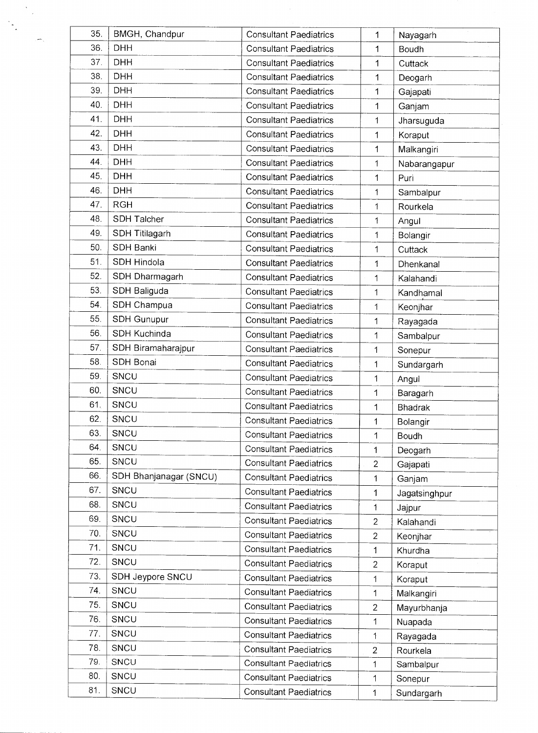| 35. | BMGH, Chandpur         | <b>Consultant Paediatrics</b> | 1              | Nayagarh       |
|-----|------------------------|-------------------------------|----------------|----------------|
| 36. | <b>DHH</b>             | <b>Consultant Paediatrics</b> | 1              | Boudh          |
| 37. | <b>DHH</b>             | <b>Consultant Paediatrics</b> | 1              | Cuttack        |
| 38. | <b>DHH</b>             | <b>Consultant Paediatrics</b> | 1              | Deogarh        |
| 39. | <b>DHH</b>             | <b>Consultant Paediatrics</b> | 1              | Gajapati       |
| 40. | <b>DHH</b>             | <b>Consultant Paediatrics</b> | 1              | Ganjam         |
| 41. | <b>DHH</b>             | <b>Consultant Paediatrics</b> | 1              | Jharsuguda     |
| 42. | <b>DHH</b>             | <b>Consultant Paediatrics</b> | 1              | Koraput        |
| 43. | <b>DHH</b>             | <b>Consultant Paediatrics</b> | 1              | Malkangiri     |
| 44. | <b>DHH</b>             | <b>Consultant Paediatrics</b> | 1              | Nabarangapur   |
| 45. | <b>DHH</b>             | <b>Consultant Paediatrics</b> | 1              | Puri           |
| 46. | <b>DHH</b>             | <b>Consultant Paediatrics</b> | 1              | Sambalpur      |
| 47. | <b>RGH</b>             | <b>Consultant Paediatrics</b> | 1              | Rourkela       |
| 48. | <b>SDH Talcher</b>     | <b>Consultant Paediatrics</b> | 1              | Angul          |
| 49. | <b>SDH Titilagarh</b>  | <b>Consultant Paediatrics</b> | 1              | Bolangir       |
| 50. | <b>SDH Banki</b>       | <b>Consultant Paediatrics</b> | 1              | Cuttack        |
| 51. | SDH Hindola            | <b>Consultant Paediatrics</b> | 1              | Dhenkanal      |
| 52. | SDH Dharmagarh         | <b>Consultant Paediatrics</b> | 1              | Kalahandi      |
| 53. | SDH Baliguda           | <b>Consultant Paediatrics</b> | 1              | Kandhamal      |
| 54. | SDH Champua            | <b>Consultant Paediatrics</b> | 1              | Keonjhar       |
| 55. | <b>SDH Gunupur</b>     | <b>Consultant Paediatrics</b> | 1              | Rayagada       |
| 56  | SDH Kuchinda           | <b>Consultant Paediatrics</b> | 1              | Sambalpur      |
| 57. | SDH Biramaharajpur     | <b>Consultant Paediatrics</b> | 1              | Sonepur        |
| 58. | SDH Bonai              | <b>Consultant Paediatrics</b> | 1              | Sundargarh     |
| 59. | SNCU                   | <b>Consultant Paediatrics</b> | 1              | Angul          |
| 60. | SNCU                   | <b>Consultant Paediatrics</b> | 1              | Baragarh       |
| 61. | SNCU                   | <b>Consultant Paediatrics</b> | 1              | <b>Bhadrak</b> |
| 62  | SNCU                   | <b>Consultant Paediatrics</b> | 1              | Bolangir       |
| 63. | SNCU                   | <b>Consultant Paediatrics</b> | 1              | Boudh          |
| 64. | SNCU                   | <b>Consultant Paediatrics</b> | 1              | Deogarh        |
| 65. | SNCU                   | <b>Consultant Paediatrics</b> | $\overline{2}$ | Gajapati       |
| 66. | SDH Bhanjanagar (SNCU) | <b>Consultant Paediatrics</b> | 1              | Ganjam         |
| 67. | SNCU                   | <b>Consultant Paediatrics</b> | 1              | Jagatsinghpur  |
| 68. | SNCU                   | <b>Consultant Paediatrics</b> | 1              | Jajpur         |
| 69. | SNCU                   | <b>Consultant Paediatrics</b> | $\overline{2}$ | Kalahandi      |
| 70. | SNCU                   | <b>Consultant Paediatrics</b> | $\overline{2}$ | Keonjhar       |
| 71. | SNCU                   | <b>Consultant Paediatrics</b> | $\mathbf{1}$   | Khurdha        |
| 72. | SNCU                   | <b>Consultant Paediatrics</b> | $\overline{2}$ | Koraput        |
| 73. | SDH Jeypore SNCU       | <b>Consultant Paediatrics</b> | 1              | Koraput        |
| 74. | SNCU                   | <b>Consultant Paediatrics</b> | 1              | Malkangiri     |
| 75. | SNCU                   | <b>Consultant Paediatrics</b> | $\overline{2}$ | Mayurbhanja    |
| 76. | SNCU                   | <b>Consultant Paediatrics</b> | 1              | Nuapada        |
| 77. | SNCU                   | <b>Consultant Paediatrics</b> | 1              | Rayagada       |
| 78. | SNCU                   | <b>Consultant Paediatrics</b> | 2              | Rourkela       |
| 79. | SNCU                   | <b>Consultant Paediatrics</b> | 1              | Sambalpur      |
| 80. | SNCU                   | <b>Consultant Paediatrics</b> | 1              | Sonepur        |
| 81. | SNCU                   | <b>Consultant Paediatrics</b> | 1              | Sundargarh     |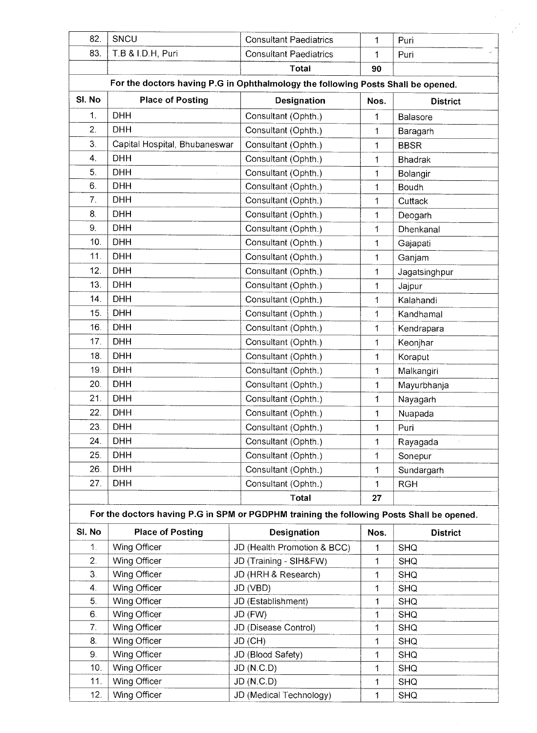| 82.              | SNCU                          | <b>Consultant Paediatrics</b>                                                             | 1            | Puri            |
|------------------|-------------------------------|-------------------------------------------------------------------------------------------|--------------|-----------------|
| 83.              | T.B & I.D.H, Puri             | <b>Consultant Paediatrics</b>                                                             | 1            | Puri            |
|                  |                               | <b>Total</b>                                                                              | 90           |                 |
|                  |                               | For the doctors having P.G in Ophthalmology the following Posts Shall be opened.          |              |                 |
| SI. No           | <b>Place of Posting</b>       | Designation                                                                               | Nos.         | <b>District</b> |
| 1.               | <b>DHH</b>                    | Consultant (Ophth.)                                                                       | 1            | <b>Balasore</b> |
| $\overline{2}$ . | <b>DHH</b>                    | Consultant (Ophth.)                                                                       | 1            | Baragarh        |
| 3.               | Capital Hospital, Bhubaneswar | Consultant (Ophth.)                                                                       | 1            | <b>BBSR</b>     |
| 4.               | <b>DHH</b>                    | Consultant (Ophth.)                                                                       | 1            | <b>Bhadrak</b>  |
| 5.               | <b>DHH</b>                    | Consultant (Ophth.)                                                                       | 1            | Bolangir        |
| 6.               | <b>DHH</b>                    | Consultant (Ophth.)                                                                       | 1            | Boudh           |
| 7.               | <b>DHH</b>                    | Consultant (Ophth.)                                                                       | 1            | Cuttack         |
| 8.               | <b>DHH</b>                    | Consultant (Ophth.)                                                                       | 1            | Deogarh         |
| 9.               | <b>DHH</b>                    | Consultant (Ophth.)                                                                       | 1            | Dhenkanal       |
| 10.              | <b>DHH</b>                    | Consultant (Ophth.)                                                                       | 1            | Gajapati        |
| 11.              | <b>DHH</b>                    | Consultant (Ophth.)                                                                       | 1            | Ganjam          |
| 12.              | <b>DHH</b>                    | Consultant (Ophth.)                                                                       |              |                 |
| 13.              | <b>DHH</b>                    | Consultant (Ophth.)                                                                       | 1            | Jagatsinghpur   |
| 14.              | <b>DHH</b>                    |                                                                                           | 1            | Jajpur          |
| 15.              | <b>DHH</b>                    | Consultant (Ophth.)                                                                       | 1            | Kalahandi       |
|                  |                               | Consultant (Ophth.)                                                                       | 1            | Kandhamal       |
| 16.              | <b>DHH</b>                    | Consultant (Ophth.)                                                                       | 1            | Kendrapara      |
| 17.              | <b>DHH</b>                    | Consultant (Ophth.)                                                                       | 1            | Keonjhar        |
| 18.              | <b>DHH</b>                    | Consultant (Ophth.)                                                                       | 1            | Koraput         |
| 19.              | <b>DHH</b>                    | Consultant (Ophth.)                                                                       | 1            | Malkangiri      |
| 20.              | <b>DHH</b>                    | Consultant (Ophth.)                                                                       | 1            | Mayurbhanja     |
| 21.              | <b>DHH</b>                    | Consultant (Ophth.)                                                                       | 1            | Nayagarh        |
| 22.              | <b>DHH</b>                    | Consultant (Ophth.)                                                                       | 1            | Nuapada         |
| 23.              | DHH                           | Consultant (Ophth.)                                                                       | 1            | Puri            |
| 24.              | <b>DHH</b>                    | Consultant (Ophth.)                                                                       | 1            | Rayagada        |
| 25.              | <b>DHH</b>                    | Consultant (Ophth.)                                                                       | 1            | Sonepur         |
| 26.              | <b>DHH</b>                    | Consultant (Ophth.)                                                                       | 1            | Sundargarh      |
| 27.              | <b>DHH</b>                    | Consultant (Ophth.)                                                                       | $\mathbf{1}$ | <b>RGH</b>      |
|                  |                               | Total                                                                                     | 27           |                 |
|                  |                               | For the doctors having P.G in SPM or PGDPHM training the following Posts Shall be opened. |              |                 |
| SI. No           | <b>Place of Posting</b>       | Designation                                                                               | Nos.         | <b>District</b> |
| 1.               | Wing Officer                  | JD (Health Promotion & BCC)                                                               | 1            | <b>SHQ</b>      |
| 2.               | Wing Officer                  | JD (Training - SIH&FW)                                                                    | 1            | <b>SHQ</b>      |
| 3.               | Wing Officer                  | JD (HRH & Research)                                                                       | 1            | <b>SHQ</b>      |
| 4.               | Wing Officer                  | JD (VBD)                                                                                  | 1            | <b>SHQ</b>      |
| 5.               | Wing Officer                  | JD (Establishment)                                                                        | 1            | <b>SHQ</b>      |
| 6.               | Wing Officer                  | JD (FW)                                                                                   | 1            | <b>SHQ</b>      |
| 7.               | Wing Officer                  | JD (Disease Control)                                                                      | 1            | <b>SHQ</b>      |
| 8.               | Wing Officer                  | JD (CH)                                                                                   | 1            | <b>SHQ</b>      |
| 9.               | Wing Officer                  | JD (Blood Safety)                                                                         | 1            | <b>SHQ</b>      |
| 10.              | Wing Officer                  | JD (N.C.D)                                                                                | 1            | <b>SHQ</b>      |
| 11.              | Wing Officer                  | <b>JD (N.C.D)</b>                                                                         | 1            | <b>SHQ</b>      |
| 12.              | Wing Officer                  | JD (Medical Technology)                                                                   | 1            | <b>SHQ</b>      |

 $\frac{1}{\sqrt{2}}\sum_{i=1}^{n} \frac{1}{i} \sum_{j=1}^{n} \frac{1}{j} \sum_{j=1}^{n} \frac{1}{j} \sum_{j=1}^{n} \frac{1}{j} \sum_{j=1}^{n} \frac{1}{j} \sum_{j=1}^{n} \frac{1}{j} \sum_{j=1}^{n} \frac{1}{j} \sum_{j=1}^{n} \frac{1}{j} \sum_{j=1}^{n} \frac{1}{j} \sum_{j=1}^{n} \frac{1}{j} \sum_{j=1}^{n} \frac{1}{j} \sum_{j=1}^{n} \frac{1}{j} \sum_{j=1$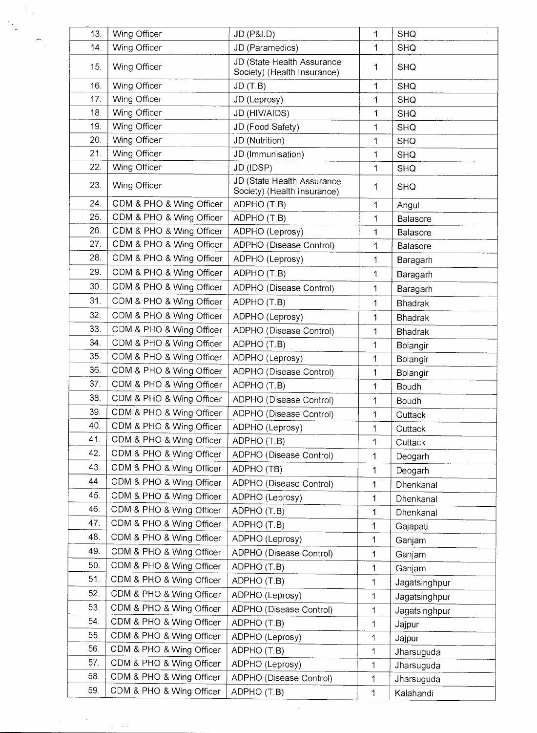| 13. | Wing Officer             | JD (P&I.D)                                                | 1            | <b>SHQ</b>     |
|-----|--------------------------|-----------------------------------------------------------|--------------|----------------|
| 14. | Wing Officer             | JD (Paramedics)                                           | 1            | <b>SHQ</b>     |
| 15. | Wing Officer             | JD (State Health Assurance<br>Society) (Health Insurance) | 1            | <b>SHQ</b>     |
| 16. | Wing Officer             | JD(T.B)                                                   | 1            | <b>SHQ</b>     |
| 17. | Wing Officer             | JD (Leprosy)                                              | 1            | <b>SHQ</b>     |
| 18. | Wing Officer             | JD (HIV/AIDS)                                             | 1            | <b>SHQ</b>     |
| 19. | Wing Officer             | JD (Food Safety)                                          | 1            | <b>SHQ</b>     |
| 20. | Wing Officer             | JD (Nutrition)                                            | 1            | <b>SHQ</b>     |
| 21. | Wing Officer             | JD (Immunisation)                                         | 1            | <b>SHQ</b>     |
| 22. | Wing Officer             | JD (IDSP)                                                 | 1            | <b>SHQ</b>     |
| 23. | Wing Officer             | JD (State Health Assurance<br>Society) (Health Insurance) | 1            | <b>SHQ</b>     |
| 24. | CDM & PHO & Wing Officer | ADPHO (T.B)                                               | 1            | Angul          |
| 25. | CDM & PHO & Wing Officer | ADPHO (T.B)                                               | 1            | Balasore       |
| 26. | CDM & PHO & Wing Officer | ADPHO (Leprosy)                                           | 1            | Balasore       |
| 27. | CDM & PHO & Wing Officer | ADPHO (Disease Control)                                   | 1            | Balasore       |
| 28. | CDM & PHO & Wing Officer | ADPHO (Leprosy)                                           | 1            | Baragarh       |
| 29. | CDM & PHO & Wing Officer | ADPHO (T.B)                                               | 1            | Baragarh       |
| 30. | CDM & PHO & Wing Officer | ADPHO (Disease Control)                                   | 1            | Baragarh       |
| 31. | CDM & PHO & Wing Officer | ADPHO (T.B)                                               | 1            | <b>Bhadrak</b> |
| 32. | CDM & PHO & Wing Officer | ADPHO (Leprosy)                                           | 1            | <b>Bhadrak</b> |
| 33. | CDM & PHO & Wing Officer | ADPHO (Disease Control)                                   | 1            | <b>Bhadrak</b> |
| 34. | CDM & PHO & Wing Officer | ADPHO (T.B)                                               | 1            | Bolangir       |
| 35. | CDM & PHO & Wing Officer | ADPHO (Leprosy)                                           | 1            | Bolangir       |
| 36. | CDM & PHO & Wing Officer | ADPHO (Disease Control)                                   | 1            | Bolangir       |
| 37. | CDM & PHO & Wing Officer | ADPHO (T.B)                                               | 1            | <b>Boudh</b>   |
| 38. | CDM & PHO & Wing Officer | ADPHO (Disease Control)                                   | 1            | Boudh          |
| 39  | CDM & PHO & Wing Officer | ADPHO (Disease Control)                                   | 1            | Cuttack        |
| 40. | CDM & PHO & Wing Officer | ADPHO (Leprosy)                                           | 1            | Cuttack        |
| 41. | CDM & PHO & Wing Officer | ADPHO (T.B)                                               | 1            | Cuttack        |
| 42. | CDM & PHO & Wing Officer | ADPHO (Disease Control)                                   | 1            | Deogarh        |
| 43. | CDM & PHO & Wing Officer | ADPHO (TB)                                                | 1            | Deogarh        |
| 44. | CDM & PHO & Wing Officer | ADPHO (Disease Control)                                   | 1            | Dhenkanal      |
| 45. | CDM & PHO & Wing Officer | ADPHO (Leprosy)                                           | 1            | Dhenkanal      |
| 46. | CDM & PHO & Wing Officer | ADPHO (T.B)                                               | 1            | Dhenkanal      |
| 47. | CDM & PHO & Wing Officer | ADPHO (T.B)                                               | 1            | Gajapati       |
| 48. | CDM & PHO & Wing Officer | ADPHO (Leprosy)                                           | 1            | Ganjam         |
| 49. | CDM & PHO & Wing Officer | ADPHO (Disease Control)                                   | 1            | Ganjam         |
| 50. | CDM & PHO & Wing Officer | ADPHO (T.B)                                               | 1            | Ganjam         |
| 51. | CDM & PHO & Wing Officer | ADPHO (T.B)                                               | 1            | Jagatsinghpur  |
| 52: | CDM & PHO & Wing Officer | ADPHO (Leprosy)                                           | 1            | Jagatsinghpur  |
| 53. | CDM & PHO & Wing Officer | ADPHO (Disease Control)                                   | 1            | Jagatsinghpur  |
| 54. | CDM & PHO & Wing Officer | ADPHO (T.B)                                               | 1            | Jajpur         |
| 55. | CDM & PHO & Wing Officer | ADPHO (Leprosy)                                           | 1            | Jajpur         |
| 56. | CDM & PHO & Wing Officer | ADPHO (T.B)                                               | 1            | Jharsuguda     |
| 57. | CDM & PHO & Wing Officer | ADPHO (Leprosy)                                           | 1            | Jharsuguda     |
| 58. | CDM & PHO & Wing Officer | ADPHO (Disease Control)                                   | 1            | Jharsuguda     |
| 59. | CDM & PHO & Wing Officer | ADPHO (T.B)                                               | $\mathbf{1}$ | Kalahandi      |

 $\mathcal{L}_{\mathcal{L}}$ 

 $\mathbb{R}$ 

 $\hat{\mathcal{L}}$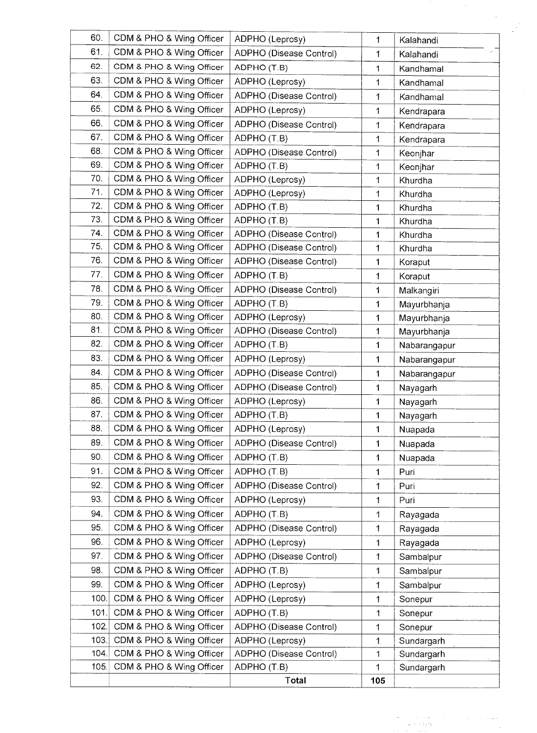| 60.  | CDM & PHO & Wing Officer | ADPHO (Leprosy)         | 1            | Kalahandi    |
|------|--------------------------|-------------------------|--------------|--------------|
| 61.  | CDM & PHO & Wing Officer | ADPHO (Disease Control) | 1            | Kalahandi    |
| 62.  | CDM & PHO & Wing Officer | ADPHO (T.B)             | 1            | Kandhamal    |
| 63.  | CDM & PHO & Wing Officer | ADPHO (Leprosy)         | 1            | Kandhamal    |
| 64.  | CDM & PHO & Wing Officer | ADPHO (Disease Control) | 1            | Kandhamal    |
| 65.  | CDM & PHO & Wing Officer | ADPHO (Leprosy)         | 1            | Kendrapara   |
| 66.  | CDM & PHO & Wing Officer | ADPHO (Disease Control) | 1            | Kendrapara   |
| 67.  | CDM & PHO & Wing Officer | ADPHO (T.B)             | 1            | Kendrapara   |
| 68.  | CDM & PHO & Wing Officer | ADPHO (Disease Control) | 1            | Keonjhar     |
| 69.  | CDM & PHO & Wing Officer | ADPHO (T.B)             | 1            | Keonjhar     |
| 70.  | CDM & PHO & Wing Officer | ADPHO (Leprosy)         | 1            | Khurdha      |
| 71.  | CDM & PHO & Wing Officer | ADPHO (Leprosy)         | 1            | Khurdha      |
| 72.  | CDM & PHO & Wing Officer | ADPHO (T.B)             | 1            | Khurdha      |
| 73.  | CDM & PHO & Wing Officer | ADPHO (T.B)             | 1            | Khurdha      |
| 74.  | CDM & PHO & Wing Officer | ADPHO (Disease Control) | 1            | Khurdha      |
| 75.  | CDM & PHO & Wing Officer | ADPHO (Disease Control) | $\mathbf{1}$ | Khurdha      |
| 76.  | CDM & PHO & Wing Officer | ADPHO (Disease Control) | 1            | Koraput      |
| 77.  | CDM & PHO & Wing Officer | ADPHO (T.B)             | $\mathbf{1}$ | Koraput      |
| 78.  | CDM & PHO & Wing Officer | ADPHO (Disease Control) | 1            | Malkangiri   |
| 79.  | CDM & PHO & Wing Officer | ADPHO (T.B)             | 1            | Mayurbhanja  |
| 80.  | CDM & PHO & Wing Officer | ADPHO (Leprosy)         | 1            | Mayurbhanja  |
| 81.  | CDM & PHO & Wing Officer | ADPHO (Disease Control) | $\mathbf{1}$ | Mayurbhanja  |
| 82.  | CDM & PHO & Wing Officer | ADPHO (T.B)             | 1            | Nabarangapur |
| 83.  | CDM & PHO & Wing Officer | ADPHO (Leprosy)         | $\mathbf{1}$ | Nabarangapur |
| 84.  | CDM & PHO & Wing Officer | ADPHO (Disease Control) | 1            | Nabarangapur |
| 85.  | CDM & PHO & Wing Officer | ADPHO (Disease Control) | 1            | Nayagarh     |
| 86.  | CDM & PHO & Wing Officer | ADPHO (Leprosy)         | 1            | Nayagarh     |
| 87.  | CDM & PHO & Wing Officer | ADPHO (T.B)             | 1            | Nayagarh     |
| 88.  | CDM & PHO & Wing Officer | ADPHO (Leprosy)         | 1            | Nuapada      |
| 89.  | CDM & PHO & Wing Officer | ADPHO (Disease Control) | $\mathbf 1$  | Nuapada      |
| 90.  | CDM & PHO & Wing Officer | ADPHO (T.B)             | 1            | Nuapada      |
| 91.  | CDM & PHO & Wing Officer | ADPHO (T.B)             | 1            | Puri         |
| 92.  | CDM & PHO & Wing Officer | ADPHO (Disease Control) | 1            | Puri         |
| 93.  | CDM & PHO & Wing Officer | ADPHO (Leprosy)         | 1            | Puri         |
| 94.  | CDM & PHO & Wing Officer | ADPHO (T.B)             | 1            | Rayagada     |
| 95.  | CDM & PHO & Wing Officer | ADPHO (Disease Control) | 1            | Rayagada     |
| 96.  | CDM & PHO & Wing Officer | ADPHO (Leprosy)         | 1            | Rayagada     |
| 97.  | CDM & PHO & Wing Officer | ADPHO (Disease Control) | 1            | Sambalpur    |
| 98.  | CDM & PHO & Wing Officer | ADPHO (T.B)             | 1            | Sambalpur    |
| 99.  | CDM & PHO & Wing Officer | ADPHO (Leprosy)         | $\mathbf{1}$ | Sambalpur    |
| 100. | CDM & PHO & Wing Officer | ADPHO (Leprosy)         | 1            | Sonepur      |
| 101. | CDM & PHO & Wing Officer | ADPHO (T.B)             | 1            | Sonepur      |
| 102. | CDM & PHO & Wing Officer | ADPHO (Disease Control) | 1            | Sonepur      |
| 103. | CDM & PHO & Wing Officer | ADPHO (Leprosy)         | $\mathbf{1}$ | Sundargarh   |
| 104. | CDM & PHO & Wing Officer | ADPHO (Disease Control) | 1            | Sundargarh   |
|      |                          |                         |              |              |
| 105. | CDM & PHO & Wing Officer | ADPHO (T.B)             | 1            | Sundargarh   |

 $\label{eq:2.1} \begin{split} \mathcal{L}_{\text{in}}(\mathcal{D}_{\text{in}}^{\text{in}}) & = \mathcal{L}_{\text{in}}(\mathcal{D}_{\text{in}}^{\text{in}}) \mathcal{L}_{\text{in}}^{\text{in}} \mathcal{L}_{\text{in}}^{\text{in}} \mathcal{L}_{\text{in}}^{\text{in}} \mathcal{L}_{\text{in}}^{\text{in}} \mathcal{L}_{\text{in}}^{\text{in}} \\ & = \mathcal{L}_{\text{in}}(\mathcal{D}_{\text{in}}^{\text{in}}) \mathcal{L}_{\text{in}}^{\text{in}} \mathcal{L}_{\text{in}}^$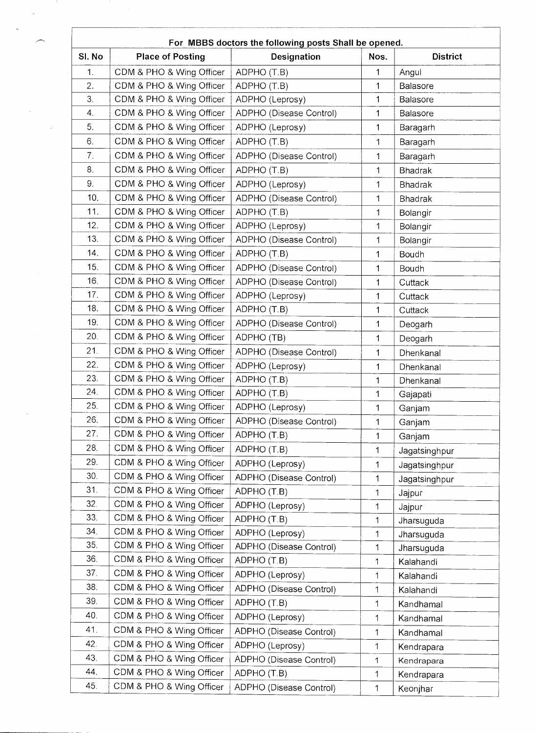|                 |                          | For MBBS doctors the following posts Shall be opened. |             |                 |
|-----------------|--------------------------|-------------------------------------------------------|-------------|-----------------|
| SI. No          | <b>Place of Posting</b>  | Designation                                           | Nos.        | <b>District</b> |
| 1.              | CDM & PHO & Wing Officer | ADPHO (T.B)                                           | 1           | Angul           |
| 2.              | CDM & PHO & Wing Officer | ADPHO (T.B)                                           | 1           | Balasore        |
| 3.              | CDM & PHO & Wing Officer | ADPHO (Leprosy)                                       | 1           | Balasore        |
| 4.              | CDM & PHO & Wing Officer | ADPHO (Disease Control)                               | 1           | Balasore        |
| 5.              | CDM & PHO & Wing Officer | ADPHO (Leprosy)                                       | 1           | Baragarh        |
| 6.              | CDM & PHO & Wing Officer | ADPHO (T.B)                                           | 1           | Baragarh        |
| 7 <sub>1</sub>  | CDM & PHO & Wing Officer | ADPHO (Disease Control)                               | 1           | Baragarh        |
| 8.              | CDM & PHO & Wing Officer | ADPHO (T.B)                                           | $\mathbf 1$ | <b>Bhadrak</b>  |
| 9.              | CDM & PHO & Wing Officer | ADPHO (Leprosy)                                       | 1           | <b>Bhadrak</b>  |
| 10.             | CDM & PHO & Wing Officer | ADPHO (Disease Control)                               | 1           | <b>Bhadrak</b>  |
| 11.             | CDM & PHO & Wing Officer | ADPHO (T.B)                                           | 1           | Bolangir        |
| 12.             | CDM & PHO & Wing Officer | ADPHO (Leprosy)                                       | 1           | Bolangir        |
| 13 <sub>1</sub> | CDM & PHO & Wing Officer | ADPHO (Disease Control)                               | 1           | Bolangir        |
| 14.             | CDM & PHO & Wing Officer | ADPHO (T.B)                                           | 1           | Boudh           |
| 15.             | CDM & PHO & Wing Officer | ADPHO (Disease Control)                               | 1           | Boudh           |
| 16.             | CDM & PHO & Wing Officer | ADPHO (Disease Control)                               | 1           | Cuttack         |
| 17 <sub>1</sub> | CDM & PHO & Wing Officer | ADPHO (Leprosy)                                       | 1           | Cuttack         |
| 18.             | CDM & PHO & Wing Officer | ADPHO (T.B)                                           | 1           | Cuttack         |
| 19.             | CDM & PHO & Wing Officer | ADPHO (Disease Control)                               | 1           | Deogarh         |
| 20.             | CDM & PHO & Wing Officer | ADPHO (TB)                                            | 1           | Deogarh         |
| 21.             | CDM & PHO & Wing Officer | ADPHO (Disease Control)                               | 1           | Dhenkanal       |
| 22.             | CDM & PHO & Wing Officer | ADPHO (Leprosy)                                       | 1           | Dhenkanal       |
| 23.             | CDM & PHO & Wing Officer | ADPHO (T.B)                                           | 1           | Dhenkanal       |
| 24.             | CDM & PHO & Wing Officer | ADPHO (T.B)                                           | 1           | Gajapati        |
| 25.             | CDM & PHO & Wing Officer | ADPHO (Leprosy)                                       | 1           | Ganjam          |
| 26.             | CDM & PHO & Wing Officer | ADPHO (Disease Control)                               | 1           | Ganjam          |
| 27.             | CDM & PHO & Wing Officer | ADPHO (T.B)                                           | 1           | Ganjam          |
| 28.             | CDM & PHO & Wing Officer | ADPHO (T.B)                                           | 1           | Jagatsinghpur   |
| 29.             | CDM & PHO & Wing Officer | ADPHO (Leprosy)                                       | 1           | Jagatsinghpur   |
| 30.             | CDM & PHO & Wing Officer | ADPHO (Disease Control)                               | 1           | Jagatsinghpur   |
| 31.             | CDM & PHO & Wing Officer | ADPHO (T.B)                                           | 1           | Jajpur          |
| 32.             | CDM & PHO & Wing Officer | ADPHO (Leprosy)                                       | 1           | Jajpur          |
| 33.             | CDM & PHO & Wing Officer | ADPHO (T.B)                                           | 1           | Jharsuguda      |
| 34.             | CDM & PHO & Wing Officer | ADPHO (Leprosy)                                       | 1           | Jharsuguda      |
| 35.             | CDM & PHO & Wing Officer | ADPHO (Disease Control)                               | 1           | Jharsuguda      |
| 36.             | CDM & PHO & Wing Officer | ADPHO (T.B)                                           | 1           | Kalahandi       |
| 37.             | CDM & PHO & Wing Officer | ADPHO (Leprosy)                                       | 1           | Kalahandi       |
| 38.             | CDM & PHO & Wing Officer | ADPHO (Disease Control)                               | 1           | Kalahandi       |
| 39.             | CDM & PHO & Wing Officer | ADPHO (T.B)                                           | $\mathbf 1$ | Kandhamal       |
| 40.             | CDM & PHO & Wing Officer | ADPHO (Leprosy)                                       | 1           | Kandhamal       |
| 41.             | CDM & PHO & Wing Officer | ADPHO (Disease Control)                               | 1           | Kandhamal       |
| 42.             | CDM & PHO & Wing Officer | ADPHO (Leprosy)                                       | 1           | Kendrapara      |
| 43.             | CDM & PHO & Wing Officer | ADPHO (Disease Control)                               | 1           | Kendrapara      |
| 44.             | CDM & PHO & Wing Officer | ADPHO (T.B)                                           | 1           | Kendrapara      |
| 45.             | CDM & PHO & Wing Officer | ADPHO (Disease Control)                               | 1           | Keonjhar        |

 $\epsilon_{\rm{eff}}$ 

 $\lambda$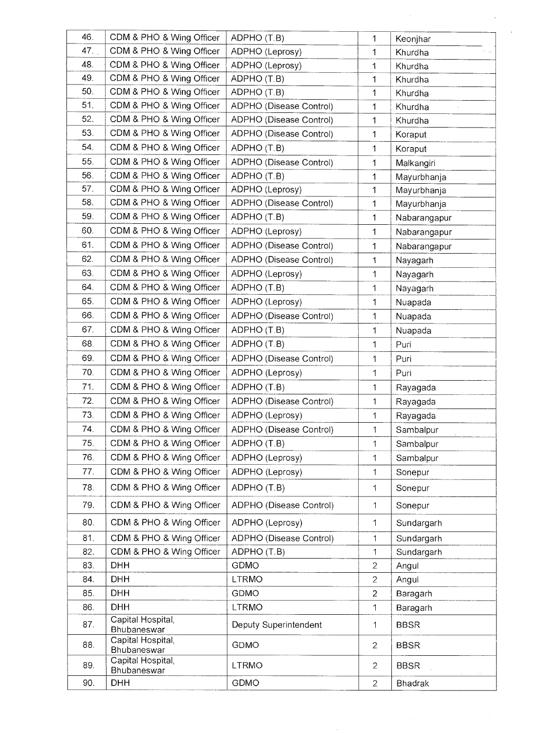| 46. | CDM & PHO & Wing Officer         | ADPHO (T.B)             | 1              | Keonjhar       |
|-----|----------------------------------|-------------------------|----------------|----------------|
| 47. | CDM & PHO & Wing Officer         | ADPHO (Leprosy)         | 1              | Khurdha        |
| 48. | CDM & PHO & Wing Officer         | ADPHO (Leprosy)         | 1              | Khurdha        |
| 49. | CDM & PHO & Wing Officer         | ADPHO (T.B)             | $\mathbf{1}$   | Khurdha        |
| 50. | CDM & PHO & Wing Officer         | ADPHO (T.B)             | $\mathbf{1}$   | Khurdha        |
| 51. | CDM & PHO & Wing Officer         | ADPHO (Disease Control) | 1              | Khurdha        |
| 52. | CDM & PHO & Wing Officer         | ADPHO (Disease Control) | 1              | Khurdha        |
| 53. | CDM & PHO & Wing Officer         | ADPHO (Disease Control) | 1              | Koraput        |
| 54. | CDM & PHO & Wing Officer         | ADPHO (T.B)             | 1              | Koraput        |
| 55. | CDM & PHO & Wing Officer         | ADPHO (Disease Control) | 1              | Malkangiri     |
| 56. | CDM & PHO & Wing Officer         | ADPHO (T.B)             | 1              | Mayurbhanja    |
| 57. | CDM & PHO & Wing Officer         | ADPHO (Leprosy)         | 1              | Mayurbhanja    |
| 58. | CDM & PHO & Wing Officer         | ADPHO (Disease Control) | $\mathbf{1}$   | Mayurbhanja    |
| 59. | CDM & PHO & Wing Officer         | ADPHO (T.B)             | 1              | Nabarangapur   |
| 60. | CDM & PHO & Wing Officer         | ADPHO (Leprosy)         | 1              | Nabarangapur   |
| 61. | CDM & PHO & Wing Officer         | ADPHO (Disease Control) | 1              | Nabarangapur   |
| 62. | CDM & PHO & Wing Officer         | ADPHO (Disease Control) | 1              | Nayagarh       |
| 63. | CDM & PHO & Wing Officer         | ADPHO (Leprosy)         | 1              | Nayagarh       |
| 64. | CDM & PHO & Wing Officer         | ADPHO (T.B)             | 1              | Nayagarh       |
| 65. | CDM & PHO & Wing Officer         | ADPHO (Leprosy)         | $\mathbf{1}$   | Nuapada        |
| 66. | CDM & PHO & Wing Officer         | ADPHO (Disease Control) | 1              | Nuapada        |
| 67. | CDM & PHO & Wing Officer         | ADPHO (T.B)             | $\mathbf{1}$   | Nuapada        |
| 68. | CDM & PHO & Wing Officer         | ADPHO (T.B)             | 1              | Puri           |
| 69. | CDM & PHO & Wing Officer         | ADPHO (Disease Control) | 1              | Puri           |
| 70. | CDM & PHO & Wing Officer         | ADPHO (Leprosy)         | 1              | Puri           |
| 71. | CDM & PHO & Wing Officer         | ADPHO (T.B)             | 1              | Rayagada       |
| 72. | CDM & PHO & Wing Officer         | ADPHO (Disease Control) | 1              | Rayagada       |
| 73. | CDM & PHO & Wing Officer         | ADPHO (Leprosy)         | 1              | Rayagada       |
| 74. | CDM & PHO & Wing Officer         | ADPHO (Disease Control) | 1              | Sambalpur      |
| 75. | CDM & PHO & Wing Officer         | ADPHO (T.B)             | 1              | Sambalpur      |
| 76. | CDM & PHO & Wing Officer         | ADPHO (Leprosy)         | 1              | Sambalpur      |
| 77. | CDM & PHO & Wing Officer         | ADPHO (Leprosy)         | $\mathbf{1}$   | Sonepur        |
| 78. | CDM & PHO & Wing Officer         | ADPHO (T.B)             | 1              | Sonepur        |
| 79. | CDM & PHO & Wing Officer         | ADPHO (Disease Control) |                |                |
|     |                                  |                         | $\mathbf{1}$   | Sonepur        |
| 80. | CDM & PHO & Wing Officer         | ADPHO (Leprosy)         | 1              | Sundargarh     |
| 81. | CDM & PHO & Wing Officer         | ADPHO (Disease Control) | 1              | Sundargarh     |
| 82. | CDM & PHO & Wing Officer         | ADPHO (T.B)             | $\mathbf{1}$   | Sundargarh     |
| 83. | <b>DHH</b>                       | GDMO                    | $\mathbf{2}$   | Angul          |
| 84. | <b>DHH</b>                       | <b>LTRMO</b>            | $\overline{2}$ | Angul          |
| 85. | <b>DHH</b>                       | <b>GDMO</b>             | $\overline{2}$ | Baragarh       |
| 86. | <b>DHH</b>                       | <b>LTRMO</b>            | 1              | Baragarh       |
| 87. | Capital Hospital,<br>Bhubaneswar | Deputy Superintendent   | 1              | <b>BBSR</b>    |
| 88. | Capital Hospital,<br>Bhubaneswar | <b>GDMO</b>             | $\overline{2}$ | <b>BBSR</b>    |
| 89. | Capital Hospital,<br>Bhubaneswar | <b>LTRMO</b>            | $\overline{2}$ | <b>BBSR</b>    |
| 90. | <b>DHH</b>                       | GDMO                    | $\overline{2}$ | <b>Bhadrak</b> |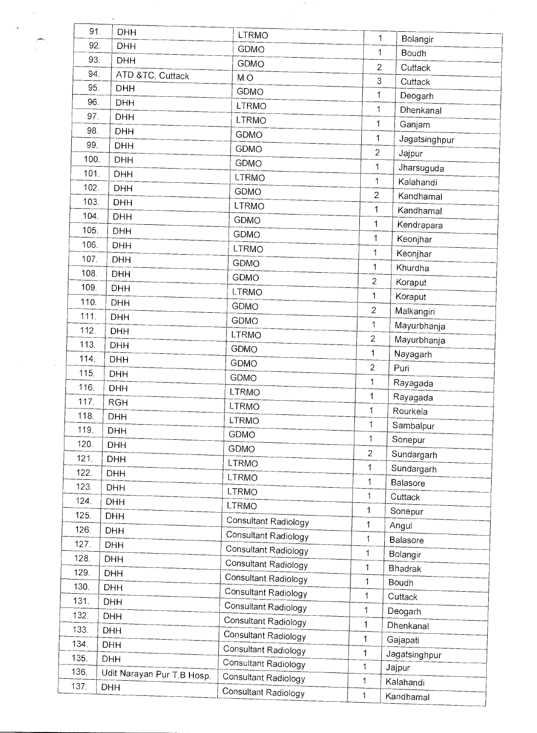| 91.  | <b>DHH</b>                 | <b>LTRMO</b>                | 1                             |                   |
|------|----------------------------|-----------------------------|-------------------------------|-------------------|
| 92.  | <b>DHH</b>                 | <b>GDMO</b>                 | 1                             | Bolangir<br>Boudh |
| 93.  | <b>DHH</b>                 | GDMO                        | $\overline{2}$                | Cuttack           |
| 94.  | ATD &TC, Cuttack           | M.O                         | 3                             | Cuttack           |
| 95.  | <b>DHH</b>                 | <b>GDMO</b>                 | $\mathbf{1}$                  | Deogarh           |
| 96.  | <b>DHH</b>                 | <b>LTRMO</b>                | $\mathbf 1$                   | Dhenkanal         |
| 97.  | <b>DHH</b>                 | <b>LTRMO</b>                | $\mathbf 1$                   |                   |
| 98.  | <b>DHH</b>                 | GDMO                        | 1                             | Ganjam            |
| 99.  | <b>DHH</b>                 | <b>GDMO</b>                 | $\mathbf{2}$                  | Jagatsinghpur     |
| 100. | <b>DHH</b>                 | GDMO                        |                               | Jajpur            |
| 101. | <b>DHH</b>                 | <b>LTRMO</b>                | $\mathbf 1$                   | Jharsuguda        |
| 102. | <b>DHH</b>                 | <b>GDMO</b>                 | $\mathbf 1$<br>$\overline{2}$ | Kalahandi         |
| 103. | <b>DHH</b>                 | <b>LTRMO</b>                |                               | Kandhamal         |
| 104. | <b>DHH</b>                 | <b>GDMO</b>                 | 1                             | Kandhamal         |
| 105. | <b>DHH</b>                 | GDMO                        | 1                             | Kendrapara        |
| 106. | <b>DHH</b>                 | <b>LTRMO</b>                | 1                             | Keonjhar          |
| 107. | <b>DHH</b>                 | <b>GDMO</b>                 | $\mathbf 1$                   | Keonjhar          |
| 108. | <b>DHH</b>                 | GDMO                        | $\mathbf 1$                   | Khurdha           |
| 109. | <b>DHH</b>                 | <b>LTRMO</b>                | $\overline{2}$                | Koraput           |
| 110. | <b>DHH</b>                 | <b>GDMO</b>                 | $\mathbf{1}$                  | Koraput           |
| 111. | <b>DHH</b>                 | <b>GDMO</b>                 | $\overline{2}$                | Malkangiri        |
| 112. | <b>DHH</b>                 | <b>LTRMO</b>                | $\mathbf 1$                   | Mayurbhanja       |
| 113. | <b>DHH</b>                 | <b>GDMO</b>                 | $\mathbf{2}$                  | Mayurbhanja       |
| 114. | <b>DHH</b>                 | <b>GDMO</b>                 | $\mathbf 1$                   | Nayagarh          |
| 115. | <b>DHH</b>                 | <b>GDMO</b>                 | $\overline{2}$                | Puri              |
| 116. | <b>DHH</b>                 | <b>LTRMO</b>                | 1                             | Rayagada          |
| 117. | <b>RGH</b>                 | <b>LTRMO</b>                | 1                             | Rayagada          |
| 118. | DHH                        | <b>LTRMO</b>                | 1                             | Rourkela          |
| 119. | <b>DHH</b>                 | GDMO                        | 1                             | Sambalpur         |
| 120. | <b>DHH</b>                 | <b>GDMO</b>                 | 1                             | Sonepur           |
| 121. | <b>DHH</b>                 | LTRMO                       | $\overline{2}$                | Sundargarh        |
| 122. | <b>DHH</b>                 | <b>LTRMO</b>                | 1                             | Sundargarh        |
| 123. | <b>DHH</b>                 | <b>LTRMO</b>                | 1                             | Balasore          |
| 124. | <b>DHH</b>                 | LTRMO                       | 1                             | Cuttack           |
| 125. | <b>DHH</b>                 |                             | 1                             | Sonepur           |
| 126. | <b>DHH</b>                 | Consultant Radiology        | 1                             | Angul             |
| 127. | <b>DHH</b>                 | Consultant Radiology        | 1                             | Balasore          |
| 128. | <b>DHH</b>                 | Consultant Radiology        | 1                             | Bolangir          |
| 129. | <b>DHH</b>                 | <b>Consultant Radiology</b> | 1                             | <b>Bhadrak</b>    |
| 130. | <b>DHH</b>                 | Consultant Radiology        | 1                             | Boudh             |
| 131. | <b>DHH</b>                 | Consultant Radiology        | 1                             | Cuttack           |
| 132. | <b>DHH</b>                 | Consultant Radiology        | $\mathbf 1$                   | Deogarh           |
| 133. | <b>DHH</b>                 | Consultant Radiology        | 1                             | Dhenkanal         |
| 134. | <b>DHH</b>                 | Consultant Radiology        | 1                             | Gajapati          |
| 135. | <b>DHH</b>                 | Consultant Radiology        | $\mathbf 1$                   | Jagatsinghpur     |
| 136. | Udit Narayan Pur T.B Hosp. | Consultant Radiology        | $\mathbf{1}$                  | Jajpur            |
| 137. | <b>DHH</b>                 | Consultant Radiology        | 1                             | Kalahandi         |
|      |                            | Consultant Radiology        | 1                             | Kandhamal         |